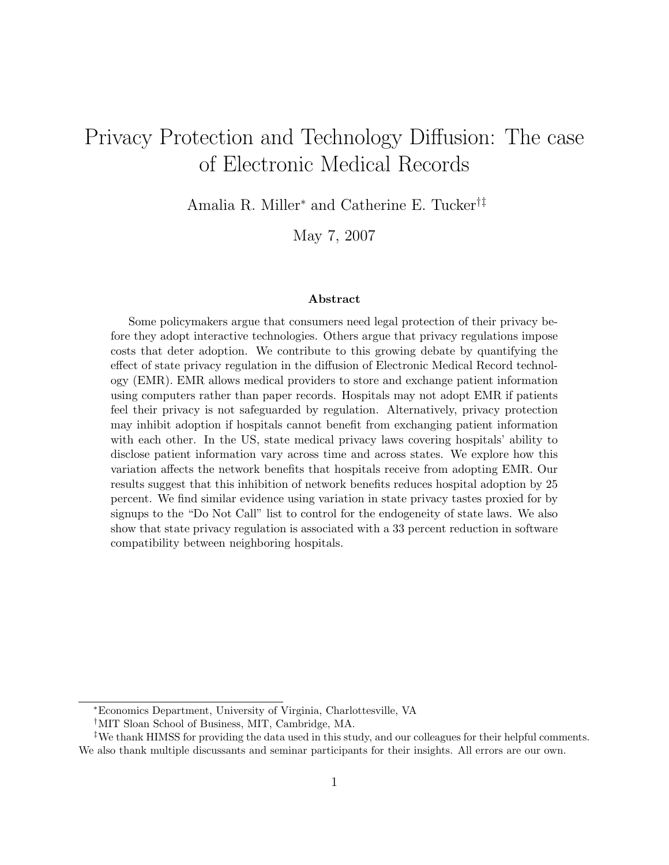# Privacy Protection and Technology Diffusion: The case of Electronic Medical Records

Amalia R. Miller<sup>∗</sup> and Catherine E. Tucker†‡

May 7, 2007

#### Abstract

Some policymakers argue that consumers need legal protection of their privacy before they adopt interactive technologies. Others argue that privacy regulations impose costs that deter adoption. We contribute to this growing debate by quantifying the effect of state privacy regulation in the diffusion of Electronic Medical Record technology (EMR). EMR allows medical providers to store and exchange patient information using computers rather than paper records. Hospitals may not adopt EMR if patients feel their privacy is not safeguarded by regulation. Alternatively, privacy protection may inhibit adoption if hospitals cannot benefit from exchanging patient information with each other. In the US, state medical privacy laws covering hospitals' ability to disclose patient information vary across time and across states. We explore how this variation affects the network benefits that hospitals receive from adopting EMR. Our results suggest that this inhibition of network benefits reduces hospital adoption by 25 percent. We find similar evidence using variation in state privacy tastes proxied for by signups to the "Do Not Call" list to control for the endogeneity of state laws. We also show that state privacy regulation is associated with a 33 percent reduction in software compatibility between neighboring hospitals.

<sup>∗</sup>Economics Department, University of Virginia, Charlottesville, VA

<sup>†</sup>MIT Sloan School of Business, MIT, Cambridge, MA.

<sup>‡</sup>We thank HIMSS for providing the data used in this study, and our colleagues for their helpful comments. We also thank multiple discussants and seminar participants for their insights. All errors are our own.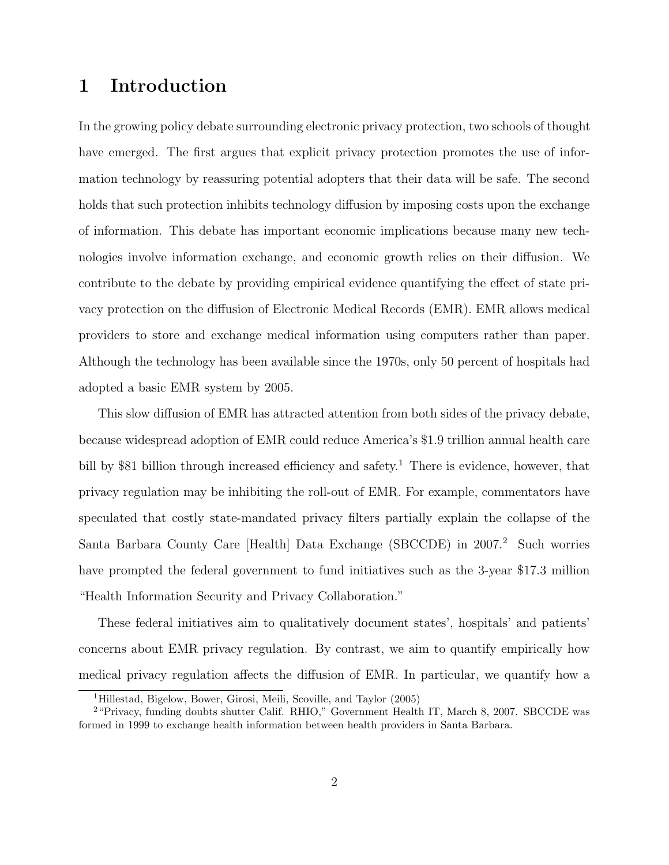### 1 Introduction

In the growing policy debate surrounding electronic privacy protection, two schools of thought have emerged. The first argues that explicit privacy protection promotes the use of information technology by reassuring potential adopters that their data will be safe. The second holds that such protection inhibits technology diffusion by imposing costs upon the exchange of information. This debate has important economic implications because many new technologies involve information exchange, and economic growth relies on their diffusion. We contribute to the debate by providing empirical evidence quantifying the effect of state privacy protection on the diffusion of Electronic Medical Records (EMR). EMR allows medical providers to store and exchange medical information using computers rather than paper. Although the technology has been available since the 1970s, only 50 percent of hospitals had adopted a basic EMR system by 2005.

This slow diffusion of EMR has attracted attention from both sides of the privacy debate, because widespread adoption of EMR could reduce America's \$1.9 trillion annual health care bill by \$81 billion through increased efficiency and safety.<sup>1</sup> There is evidence, however, that privacy regulation may be inhibiting the roll-out of EMR. For example, commentators have speculated that costly state-mandated privacy filters partially explain the collapse of the Santa Barbara County Care [Health] Data Exchange (SBCCDE) in 2007.<sup>2</sup> Such worries have prompted the federal government to fund initiatives such as the 3-year \$17.3 million "Health Information Security and Privacy Collaboration."

These federal initiatives aim to qualitatively document states', hospitals' and patients' concerns about EMR privacy regulation. By contrast, we aim to quantify empirically how medical privacy regulation affects the diffusion of EMR. In particular, we quantify how a

<sup>1</sup>[Hillestad, Bigelow, Bower, Girosi, Meili, Scoville, and Taylor \(2005\)](#page-23-0)

<sup>&</sup>lt;sup>2</sup> "Privacy, funding doubts shutter Calif. RHIO," Government Health IT, March 8, 2007. SBCCDE was formed in 1999 to exchange health information between health providers in Santa Barbara.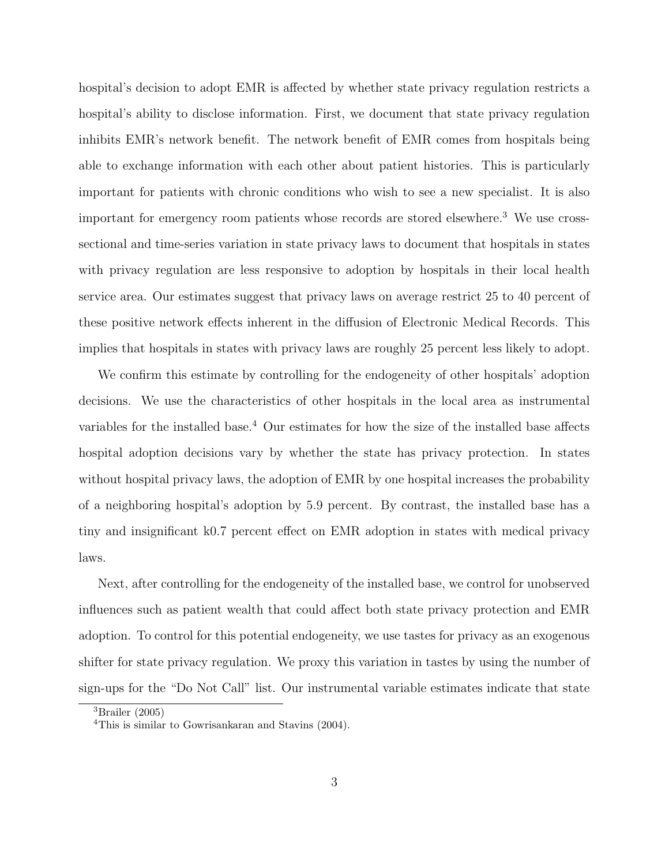hospital's decision to adopt EMR is affected by whether state privacy regulation restricts a hospital's ability to disclose information. First, we document that state privacy regulation inhibits EMR's network benefit. The network benefit of EMR comes from hospitals being able to exchange information with each other about patient histories. This is particularly important for patients with chronic conditions who wish to see a new specialist. It is also important for emergency room patients whose records are stored elsewhere.<sup>3</sup> We use crosssectional and time-series variation in state privacy laws to document that hospitals in states with privacy regulation are less responsive to adoption by hospitals in their local health service area. Our estimates suggest that privacy laws on average restrict 25 to 40 percent of these positive network effects inherent in the diffusion of Electronic Medical Records. This implies that hospitals in states with privacy laws are roughly 25 percent less likely to adopt.

We confirm this estimate by controlling for the endogeneity of other hospitals' adoption decisions. We use the characteristics of other hospitals in the local area as instrumental variables for the installed base.<sup>4</sup> Our estimates for how the size of the installed base affects hospital adoption decisions vary by whether the state has privacy protection. In states without hospital privacy laws, the adoption of EMR by one hospital increases the probability of a neighboring hospital's adoption by 5.9 percent. By contrast, the installed base has a tiny and insignificant k0.7 percent effect on EMR adoption in states with medical privacy laws.

Next, after controlling for the endogeneity of the installed base, we control for unobserved influences such as patient wealth that could affect both state privacy protection and EMR adoption. To control for this potential endogeneity, we use tastes for privacy as an exogenous shifter for state privacy regulation. We proxy this variation in tastes by using the number of sign-ups for the "Do Not Call" list. Our instrumental variable estimates indicate that state

<sup>3</sup>[Brailer \(2005\)](#page-22-0)

<sup>4</sup>This is similar to [Gowrisankaran and Stavins \(2004\).](#page-22-1)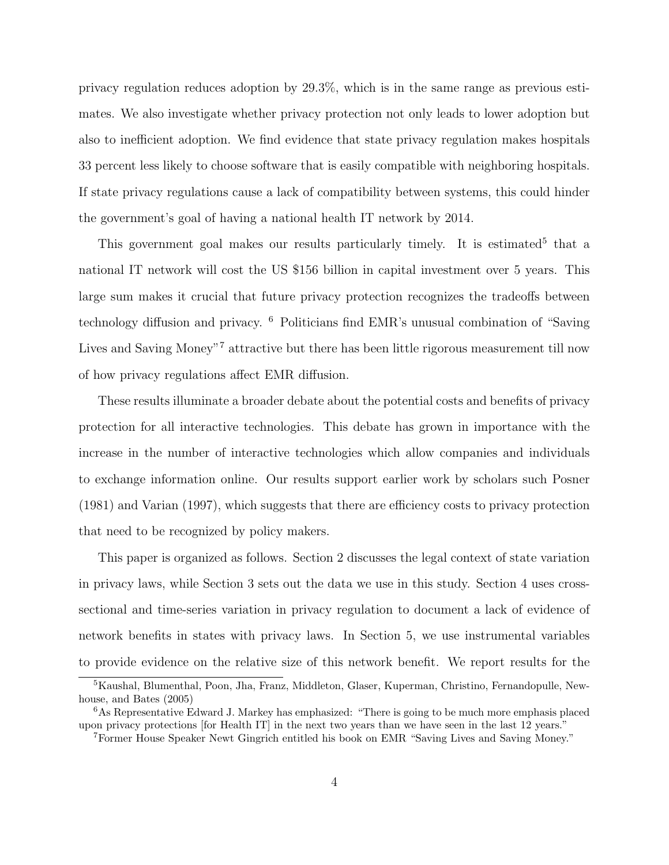privacy regulation reduces adoption by 29.3%, which is in the same range as previous estimates. We also investigate whether privacy protection not only leads to lower adoption but also to inefficient adoption. We find evidence that state privacy regulation makes hospitals 33 percent less likely to choose software that is easily compatible with neighboring hospitals. If state privacy regulations cause a lack of compatibility between systems, this could hinder the government's goal of having a national health IT network by 2014.

This government goal makes our results particularly timely. It is estimated<sup>5</sup> that a national IT network will cost the US \$156 billion in capital investment over 5 years. This large sum makes it crucial that future privacy protection recognizes the tradeoffs between technology diffusion and privacy. <sup>6</sup> Politicians find EMR's unusual combination of "Saving Lives and Saving Money"<sup>7</sup> attractive but there has been little rigorous measurement till now of how privacy regulations affect EMR diffusion.

These results illuminate a broader debate about the potential costs and benefits of privacy protection for all interactive technologies. This debate has grown in importance with the increase in the number of interactive technologies which allow companies and individuals to exchange information online. Our results support earlier work by scholars such [Posner](#page-23-1) [\(1981\)](#page-23-1) and [Varian \(1997\),](#page-24-0) which suggests that there are efficiency costs to privacy protection that need to be recognized by policy makers.

This paper is organized as follows. Section [2](#page-4-0) discusses the legal context of state variation in privacy laws, while Section [3](#page-7-0) sets out the data we use in this study. Section [4](#page-10-0) uses crosssectional and time-series variation in privacy regulation to document a lack of evidence of network benefits in states with privacy laws. In Section [5,](#page-15-0) we use instrumental variables to provide evidence on the relative size of this network benefit. We report results for the

<sup>5</sup>[Kaushal, Blumenthal, Poon, Jha, Franz, Middleton, Glaser, Kuperman, Christino, Fernandopulle, New](#page-23-2)[house, and Bates \(2005\)](#page-23-2)

<sup>6</sup>As Representative Edward J. Markey has emphasized: "There is going to be much more emphasis placed upon privacy protections [for Health IT] in the next two years than we have seen in the last 12 years."

<sup>7</sup>Former House Speaker Newt Gingrich entitled his book on EMR "Saving Lives and Saving Money."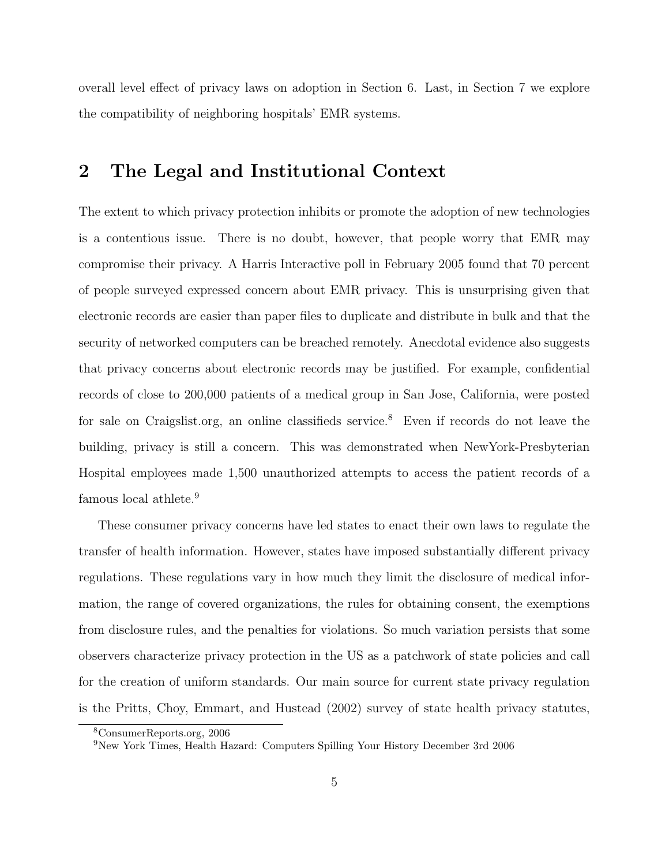overall level effect of privacy laws on adoption in Section [6.](#page-17-0) Last, in Section [7](#page-18-0) we explore the compatibility of neighboring hospitals' EMR systems.

### <span id="page-4-0"></span>2 The Legal and Institutional Context

The extent to which privacy protection inhibits or promote the adoption of new technologies is a contentious issue. There is no doubt, however, that people worry that EMR may compromise their privacy. A Harris Interactive poll in February 2005 found that 70 percent of people surveyed expressed concern about EMR privacy. This is unsurprising given that electronic records are easier than paper files to duplicate and distribute in bulk and that the security of networked computers can be breached remotely. Anecdotal evidence also suggests that privacy concerns about electronic records may be justified. For example, confidential records of close to 200,000 patients of a medical group in San Jose, California, were posted for sale on Craigslist.org, an online classifieds service.<sup>8</sup> Even if records do not leave the building, privacy is still a concern. This was demonstrated when NewYork-Presbyterian Hospital employees made 1,500 unauthorized attempts to access the patient records of a famous local athlete.<sup>9</sup>

These consumer privacy concerns have led states to enact their own laws to regulate the transfer of health information. However, states have imposed substantially different privacy regulations. These regulations vary in how much they limit the disclosure of medical information, the range of covered organizations, the rules for obtaining consent, the exemptions from disclosure rules, and the penalties for violations. So much variation persists that some observers characterize privacy protection in the US as a patchwork of state policies and call for the creation of uniform standards. Our main source for current state privacy regulation is the [Pritts, Choy, Emmart, and Hustead \(2002\)](#page-23-3) survey of state health privacy statutes,

<sup>8</sup>ConsumerReports.org, 2006

<sup>9</sup>New York Times, Health Hazard: Computers Spilling Your History December 3rd 2006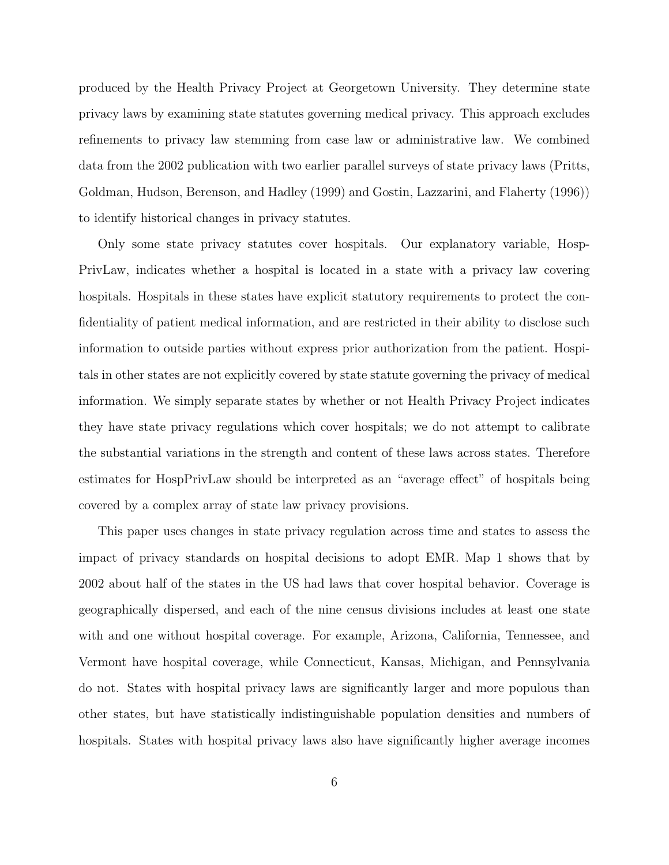produced by the Health Privacy Project at Georgetown University. They determine state privacy laws by examining state statutes governing medical privacy. This approach excludes refinements to privacy law stemming from case law or administrative law. We combined data from the 2002 publication with two earlier parallel surveys of state privacy laws [\(Pritts,](#page-23-4) [Goldman, Hudson, Berenson, and Hadley \(1999\)](#page-23-4) and [Gostin, Lazzarini, and Flaherty \(1996\)\)](#page-22-2) to identify historical changes in privacy statutes.

Only some state privacy statutes cover hospitals. Our explanatory variable, Hosp-PrivLaw, indicates whether a hospital is located in a state with a privacy law covering hospitals. Hospitals in these states have explicit statutory requirements to protect the confidentiality of patient medical information, and are restricted in their ability to disclose such information to outside parties without express prior authorization from the patient. Hospitals in other states are not explicitly covered by state statute governing the privacy of medical information. We simply separate states by whether or not Health Privacy Project indicates they have state privacy regulations which cover hospitals; we do not attempt to calibrate the substantial variations in the strength and content of these laws across states. Therefore estimates for HospPrivLaw should be interpreted as an "average effect" of hospitals being covered by a complex array of state law privacy provisions.

This paper uses changes in state privacy regulation across time and states to assess the impact of privacy standards on hospital decisions to adopt EMR. Map [1](#page-25-0) shows that by 2002 about half of the states in the US had laws that cover hospital behavior. Coverage is geographically dispersed, and each of the nine census divisions includes at least one state with and one without hospital coverage. For example, Arizona, California, Tennessee, and Vermont have hospital coverage, while Connecticut, Kansas, Michigan, and Pennsylvania do not. States with hospital privacy laws are significantly larger and more populous than other states, but have statistically indistinguishable population densities and numbers of hospitals. States with hospital privacy laws also have significantly higher average incomes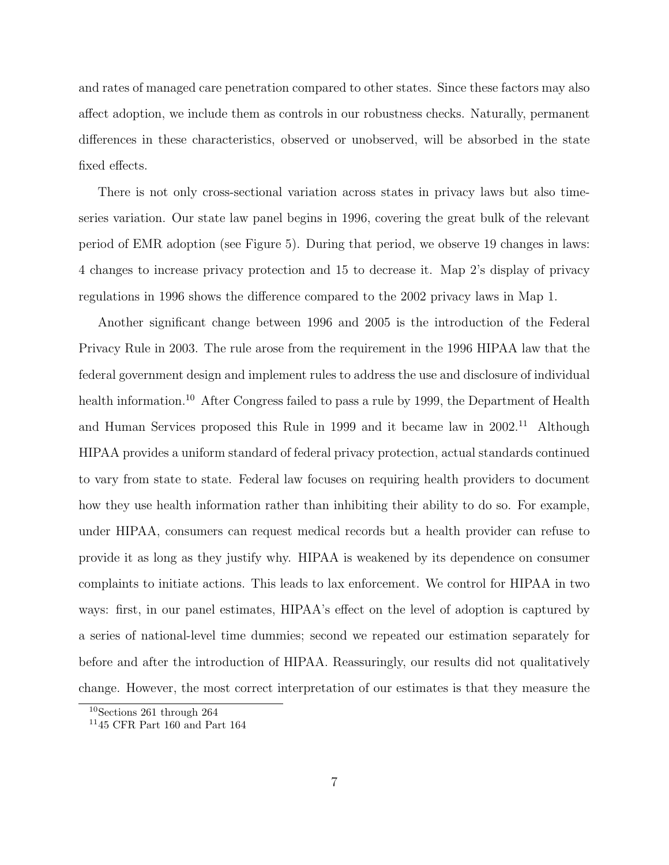and rates of managed care penetration compared to other states. Since these factors may also affect adoption, we include them as controls in our robustness checks. Naturally, permanent differences in these characteristics, observed or unobserved, will be absorbed in the state fixed effects.

There is not only cross-sectional variation across states in privacy laws but also timeseries variation. Our state law panel begins in 1996, covering the great bulk of the relevant period of EMR adoption (see Figure [5\)](#page-29-0). During that period, we observe 19 changes in laws: 4 changes to increase privacy protection and 15 to decrease it. Map [2'](#page-26-0)s display of privacy regulations in 1996 shows the difference compared to the 2002 privacy laws in Map [1.](#page-25-0)

Another significant change between 1996 and 2005 is the introduction of the Federal Privacy Rule in 2003. The rule arose from the requirement in the 1996 HIPAA law that the federal government design and implement rules to address the use and disclosure of individual health information.<sup>10</sup> After Congress failed to pass a rule by 1999, the Department of Health and Human Services proposed this Rule in 1999 and it became law in  $2002<sup>11</sup>$  Although HIPAA provides a uniform standard of federal privacy protection, actual standards continued to vary from state to state. Federal law focuses on requiring health providers to document how they use health information rather than inhibiting their ability to do so. For example, under HIPAA, consumers can request medical records but a health provider can refuse to provide it as long as they justify why. HIPAA is weakened by its dependence on consumer complaints to initiate actions. This leads to lax enforcement. We control for HIPAA in two ways: first, in our panel estimates, HIPAA's effect on the level of adoption is captured by a series of national-level time dummies; second we repeated our estimation separately for before and after the introduction of HIPAA. Reassuringly, our results did not qualitatively change. However, the most correct interpretation of our estimates is that they measure the

<sup>10</sup>Sections 261 through 264

<sup>11</sup>45 CFR Part 160 and Part 164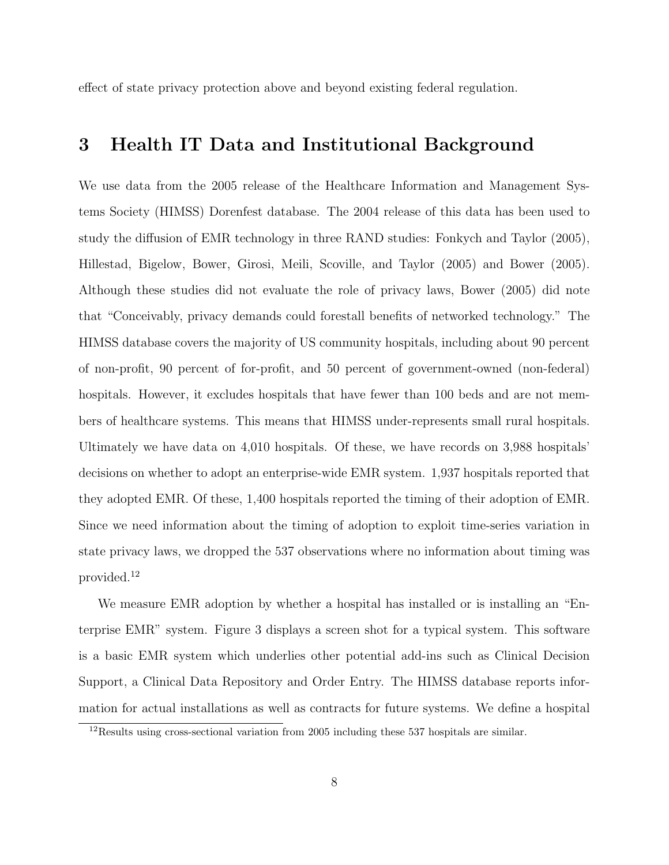effect of state privacy protection above and beyond existing federal regulation.

### <span id="page-7-0"></span>3 Health IT Data and Institutional Background

We use data from the 2005 release of the Healthcare Information and Management Systems Society (HIMSS) Dorenfest database. The 2004 release of this data has been used to study the diffusion of EMR technology in three RAND studies: [Fonkych and Taylor \(2005\),](#page-22-3) [Hillestad, Bigelow, Bower, Girosi, Meili, Scoville, and Taylor \(2005\)](#page-23-0) and [Bower \(2005\).](#page-22-4) Although these studies did not evaluate the role of privacy laws, [Bower \(2005\)](#page-22-4) did note that "Conceivably, privacy demands could forestall benefits of networked technology." The HIMSS database covers the majority of US community hospitals, including about 90 percent of non-profit, 90 percent of for-profit, and 50 percent of government-owned (non-federal) hospitals. However, it excludes hospitals that have fewer than 100 beds and are not members of healthcare systems. This means that HIMSS under-represents small rural hospitals. Ultimately we have data on 4,010 hospitals. Of these, we have records on 3,988 hospitals' decisions on whether to adopt an enterprise-wide EMR system. 1,937 hospitals reported that they adopted EMR. Of these, 1,400 hospitals reported the timing of their adoption of EMR. Since we need information about the timing of adoption to exploit time-series variation in state privacy laws, we dropped the 537 observations where no information about timing was provided.<sup>12</sup>

We measure EMR adoption by whether a hospital has installed or is installing an "Enterprise EMR" system. Figure [3](#page-27-0) displays a screen shot for a typical system. This software is a basic EMR system which underlies other potential add-ins such as Clinical Decision Support, a Clinical Data Repository and Order Entry. The HIMSS database reports information for actual installations as well as contracts for future systems. We define a hospital

<sup>12</sup>Results using cross-sectional variation from 2005 including these 537 hospitals are similar.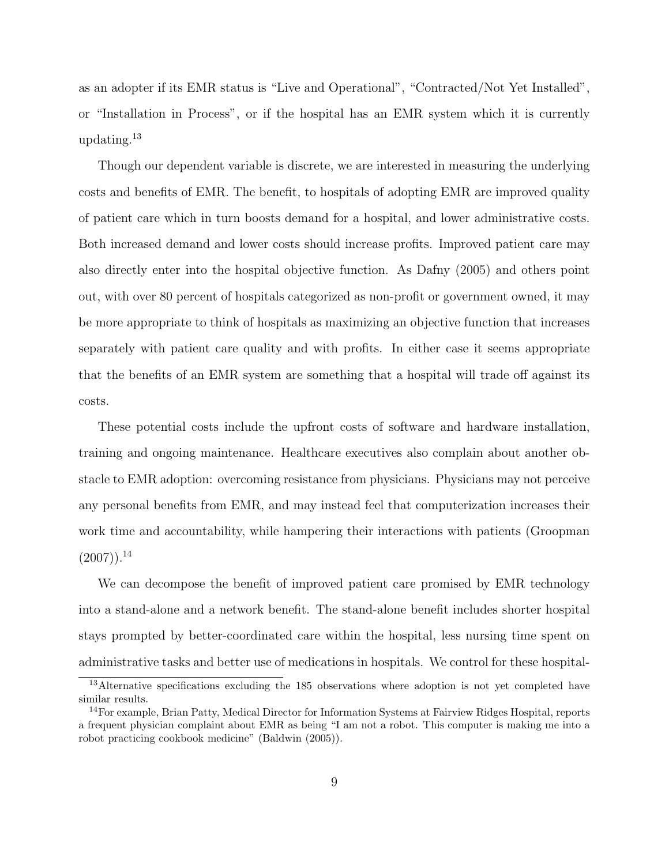as an adopter if its EMR status is "Live and Operational", "Contracted/Not Yet Installed", or "Installation in Process", or if the hospital has an EMR system which it is currently updating.<sup>13</sup>

Though our dependent variable is discrete, we are interested in measuring the underlying costs and benefits of EMR. The benefit, to hospitals of adopting EMR are improved quality of patient care which in turn boosts demand for a hospital, and lower administrative costs. Both increased demand and lower costs should increase profits. Improved patient care may also directly enter into the hospital objective function. As [Dafny \(2005\)](#page-22-5) and others point out, with over 80 percent of hospitals categorized as non-profit or government owned, it may be more appropriate to think of hospitals as maximizing an objective function that increases separately with patient care quality and with profits. In either case it seems appropriate that the benefits of an EMR system are something that a hospital will trade off against its costs.

These potential costs include the upfront costs of software and hardware installation, training and ongoing maintenance. Healthcare executives also complain about another obstacle to EMR adoption: overcoming resistance from physicians. Physicians may not perceive any personal benefits from EMR, and may instead feel that computerization increases their work time and accountability, while hampering their interactions with patients [\(Groopman](#page-23-5)  $(2007)$ ).<sup>14</sup>

We can decompose the benefit of improved patient care promised by EMR technology into a stand-alone and a network benefit. The stand-alone benefit includes shorter hospital stays prompted by better-coordinated care within the hospital, less nursing time spent on administrative tasks and better use of medications in hospitals. We control for these hospital-

<sup>&</sup>lt;sup>13</sup>Alternative specifications excluding the 185 observations where adoption is not yet completed have similar results.

<sup>14</sup>For example, Brian Patty, Medical Director for Information Systems at Fairview Ridges Hospital, reports a frequent physician complaint about EMR as being "I am not a robot. This computer is making me into a robot practicing cookbook medicine" [\(Baldwin \(2005\)\)](#page-22-6).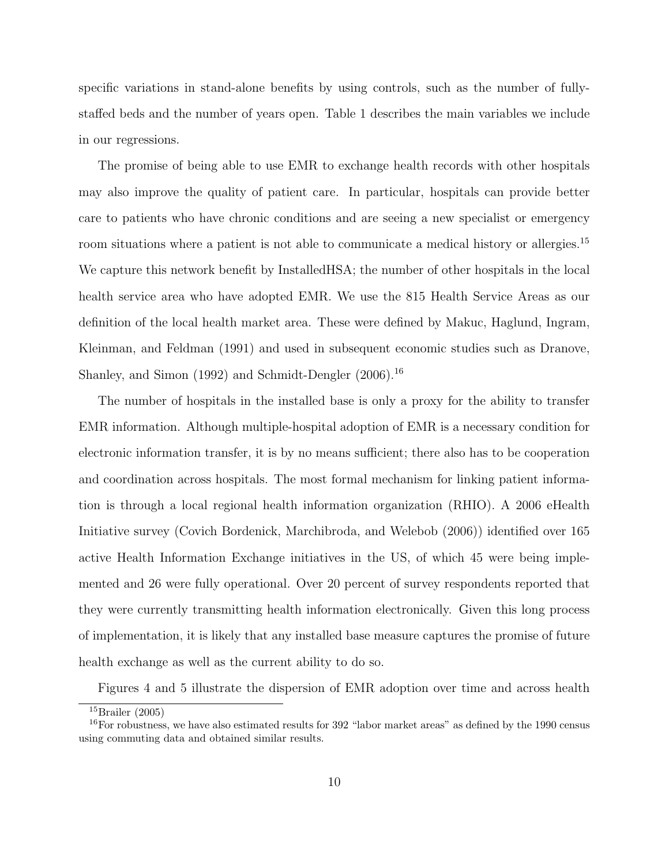specific variations in stand-alone benefits by using controls, such as the number of fullystaffed beds and the number of years open. Table [1](#page-30-0) describes the main variables we include in our regressions.

The promise of being able to use EMR to exchange health records with other hospitals may also improve the quality of patient care. In particular, hospitals can provide better care to patients who have chronic conditions and are seeing a new specialist or emergency room situations where a patient is not able to communicate a medical history or allergies.<sup>15</sup> We capture this network benefit by InstalledHSA; the number of other hospitals in the local health service area who have adopted EMR. We use the 815 Health Service Areas as our definition of the local health market area. These were defined by [Makuc, Haglund, Ingram,](#page-23-6) [Kleinman, and Feldman \(1991\)](#page-23-6) and used in subsequent economic studies such as [Dranove,](#page-22-7) [Shanley, and Simon \(1992\)](#page-22-7) and [Schmidt-Dengler \(2006\).](#page-24-1)<sup>16</sup>

The number of hospitals in the installed base is only a proxy for the ability to transfer EMR information. Although multiple-hospital adoption of EMR is a necessary condition for electronic information transfer, it is by no means sufficient; there also has to be cooperation and coordination across hospitals. The most formal mechanism for linking patient information is through a local regional health information organization (RHIO). A 2006 eHealth Initiative survey [\(Covich Bordenick, Marchibroda, and Welebob \(2006\)\)](#page-22-8) identified over 165 active Health Information Exchange initiatives in the US, of which 45 were being implemented and 26 were fully operational. Over 20 percent of survey respondents reported that they were currently transmitting health information electronically. Given this long process of implementation, it is likely that any installed base measure captures the promise of future health exchange as well as the current ability to do so.

Figures [4](#page-28-0) and [5](#page-29-0) illustrate the dispersion of EMR adoption over time and across health

 $15$ [Brailer \(2005\)](#page-22-0)

<sup>16</sup>For robustness, we have also estimated results for 392 "labor market areas" as defined by the 1990 census using commuting data and obtained similar results.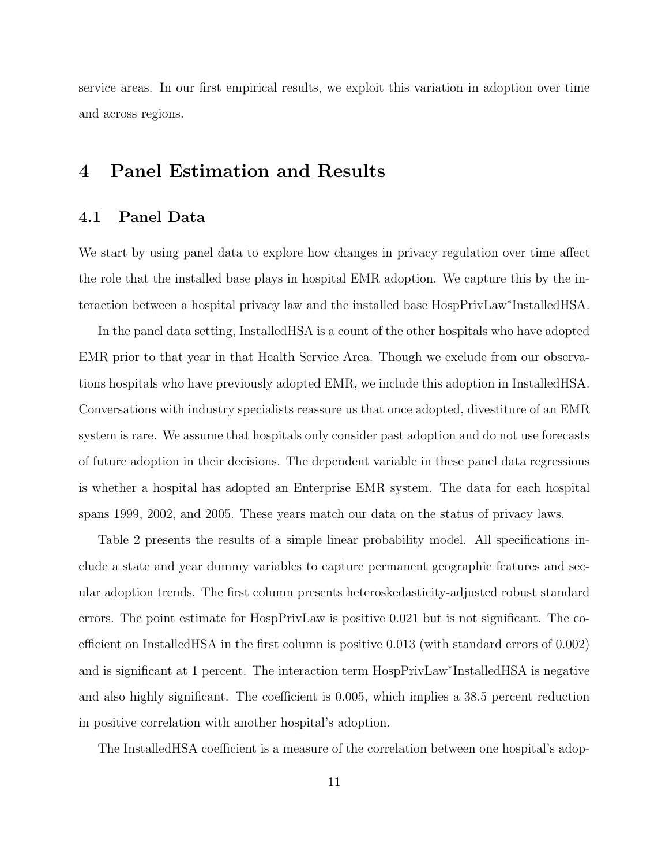service areas. In our first empirical results, we exploit this variation in adoption over time and across regions.

### <span id="page-10-0"></span>4 Panel Estimation and Results

### 4.1 Panel Data

We start by using panel data to explore how changes in privacy regulation over time affect the role that the installed base plays in hospital EMR adoption. We capture this by the interaction between a hospital privacy law and the installed base HospPrivLaw<sup>∗</sup> InstalledHSA.

In the panel data setting, InstalledHSA is a count of the other hospitals who have adopted EMR prior to that year in that Health Service Area. Though we exclude from our observations hospitals who have previously adopted EMR, we include this adoption in InstalledHSA. Conversations with industry specialists reassure us that once adopted, divestiture of an EMR system is rare. We assume that hospitals only consider past adoption and do not use forecasts of future adoption in their decisions. The dependent variable in these panel data regressions is whether a hospital has adopted an Enterprise EMR system. The data for each hospital spans 1999, 2002, and 2005. These years match our data on the status of privacy laws.

Table [2](#page-31-0) presents the results of a simple linear probability model. All specifications include a state and year dummy variables to capture permanent geographic features and secular adoption trends. The first column presents heteroskedasticity-adjusted robust standard errors. The point estimate for HospPrivLaw is positive 0.021 but is not significant. The coefficient on InstalledHSA in the first column is positive 0.013 (with standard errors of 0.002) and is significant at 1 percent. The interaction term HospPrivLaw<sup>∗</sup> InstalledHSA is negative and also highly significant. The coefficient is 0.005, which implies a 38.5 percent reduction in positive correlation with another hospital's adoption.

The InstalledHSA coefficient is a measure of the correlation between one hospital's adop-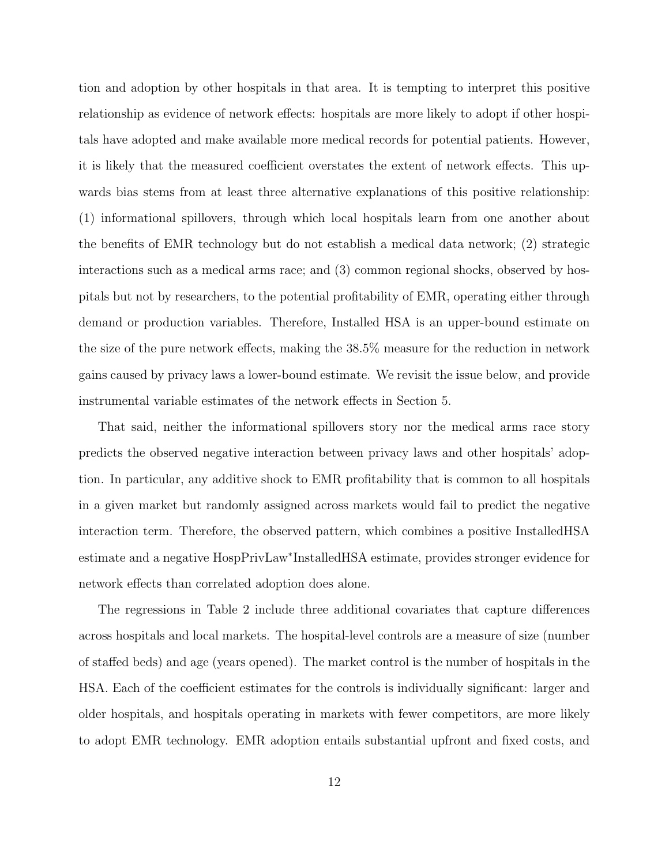tion and adoption by other hospitals in that area. It is tempting to interpret this positive relationship as evidence of network effects: hospitals are more likely to adopt if other hospitals have adopted and make available more medical records for potential patients. However, it is likely that the measured coefficient overstates the extent of network effects. This upwards bias stems from at least three alternative explanations of this positive relationship: (1) informational spillovers, through which local hospitals learn from one another about the benefits of EMR technology but do not establish a medical data network; (2) strategic interactions such as a medical arms race; and (3) common regional shocks, observed by hospitals but not by researchers, to the potential profitability of EMR, operating either through demand or production variables. Therefore, Installed HSA is an upper-bound estimate on the size of the pure network effects, making the 38.5% measure for the reduction in network gains caused by privacy laws a lower-bound estimate. We revisit the issue below, and provide instrumental variable estimates of the network effects in Section [5.](#page-15-0)

That said, neither the informational spillovers story nor the medical arms race story predicts the observed negative interaction between privacy laws and other hospitals' adoption. In particular, any additive shock to EMR profitability that is common to all hospitals in a given market but randomly assigned across markets would fail to predict the negative interaction term. Therefore, the observed pattern, which combines a positive InstalledHSA estimate and a negative HospPrivLaw<sup>∗</sup> InstalledHSA estimate, provides stronger evidence for network effects than correlated adoption does alone.

The regressions in Table [2](#page-31-0) include three additional covariates that capture differences across hospitals and local markets. The hospital-level controls are a measure of size (number of staffed beds) and age (years opened). The market control is the number of hospitals in the HSA. Each of the coefficient estimates for the controls is individually significant: larger and older hospitals, and hospitals operating in markets with fewer competitors, are more likely to adopt EMR technology. EMR adoption entails substantial upfront and fixed costs, and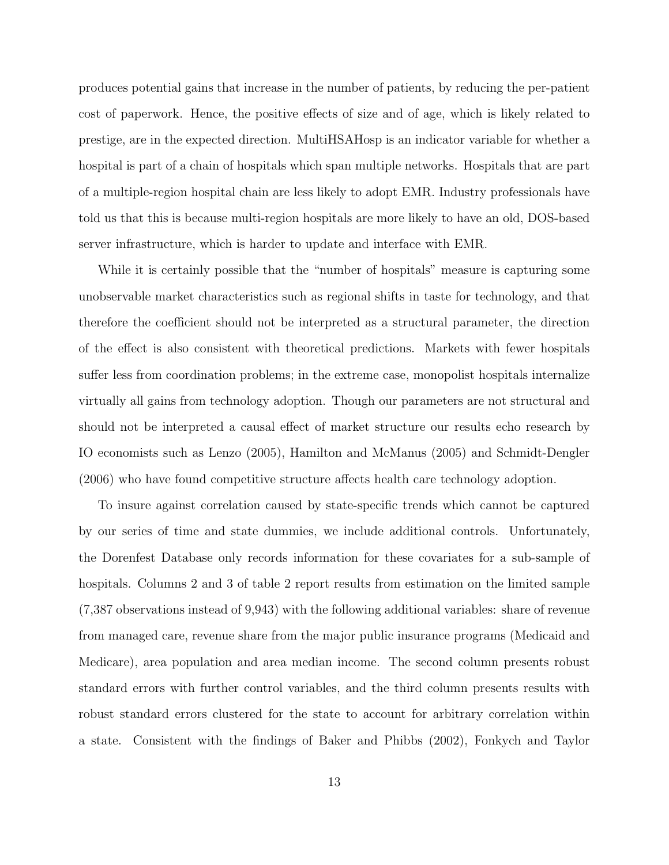produces potential gains that increase in the number of patients, by reducing the per-patient cost of paperwork. Hence, the positive effects of size and of age, which is likely related to prestige, are in the expected direction. MultiHSAHosp is an indicator variable for whether a hospital is part of a chain of hospitals which span multiple networks. Hospitals that are part of a multiple-region hospital chain are less likely to adopt EMR. Industry professionals have told us that this is because multi-region hospitals are more likely to have an old, DOS-based server infrastructure, which is harder to update and interface with EMR.

While it is certainly possible that the "number of hospitals" measure is capturing some unobservable market characteristics such as regional shifts in taste for technology, and that therefore the coefficient should not be interpreted as a structural parameter, the direction of the effect is also consistent with theoretical predictions. Markets with fewer hospitals suffer less from coordination problems; in the extreme case, monopolist hospitals internalize virtually all gains from technology adoption. Though our parameters are not structural and should not be interpreted a causal effect of market structure our results echo research by IO economists such as [Lenzo \(2005\),](#page-23-7) [Hamilton and McManus \(2005\)](#page-23-8) and [Schmidt-Dengler](#page-24-1) [\(2006\)](#page-24-1) who have found competitive structure affects health care technology adoption.

To insure against correlation caused by state-specific trends which cannot be captured by our series of time and state dummies, we include additional controls. Unfortunately, the Dorenfest Database only records information for these covariates for a sub-sample of hospitals. Columns 2 and 3 of table [2](#page-31-0) report results from estimation on the limited sample (7,387 observations instead of 9,943) with the following additional variables: share of revenue from managed care, revenue share from the major public insurance programs (Medicaid and Medicare), area population and area median income. The second column presents robust standard errors with further control variables, and the third column presents results with robust standard errors clustered for the state to account for arbitrary correlation within a state. Consistent with the findings of [Baker and Phibbs \(2002\),](#page-22-9) [Fonkych and Taylor](#page-22-3)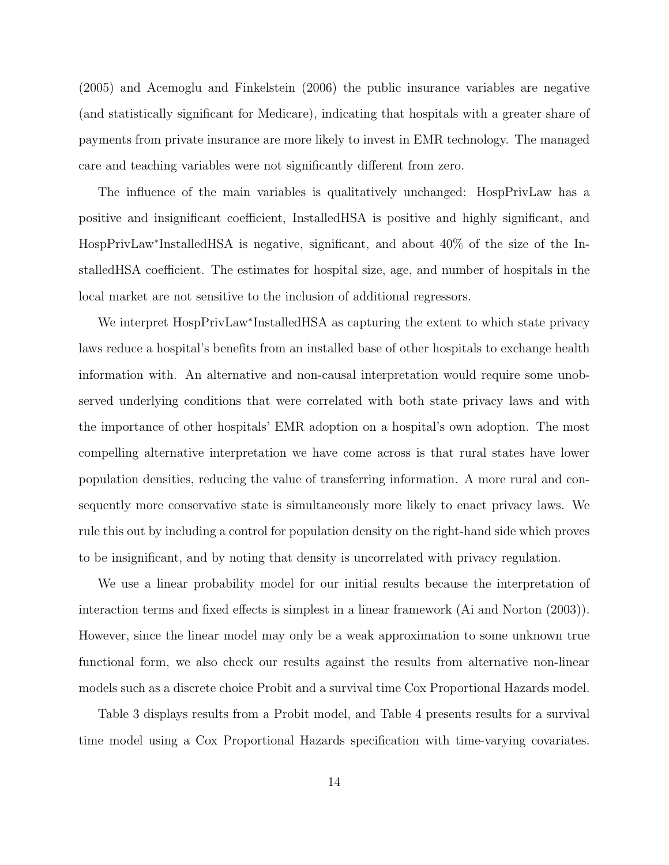[\(2005\)](#page-22-3) and [Acemoglu and Finkelstein \(2006\)](#page-21-0) the public insurance variables are negative (and statistically significant for Medicare), indicating that hospitals with a greater share of payments from private insurance are more likely to invest in EMR technology. The managed care and teaching variables were not significantly different from zero.

The influence of the main variables is qualitatively unchanged: HospPrivLaw has a positive and insignificant coefficient, InstalledHSA is positive and highly significant, and HospPrivLaw<sup>∗</sup> InstalledHSA is negative, significant, and about 40% of the size of the InstalledHSA coefficient. The estimates for hospital size, age, and number of hospitals in the local market are not sensitive to the inclusion of additional regressors.

We interpret HospPrivLaw<sup>∗</sup> InstalledHSA as capturing the extent to which state privacy laws reduce a hospital's benefits from an installed base of other hospitals to exchange health information with. An alternative and non-causal interpretation would require some unobserved underlying conditions that were correlated with both state privacy laws and with the importance of other hospitals' EMR adoption on a hospital's own adoption. The most compelling alternative interpretation we have come across is that rural states have lower population densities, reducing the value of transferring information. A more rural and consequently more conservative state is simultaneously more likely to enact privacy laws. We rule this out by including a control for population density on the right-hand side which proves to be insignificant, and by noting that density is uncorrelated with privacy regulation.

We use a linear probability model for our initial results because the interpretation of interaction terms and fixed effects is simplest in a linear framework [\(Ai and Norton \(2003\)\)](#page-21-1). However, since the linear model may only be a weak approximation to some unknown true functional form, we also check our results against the results from alternative non-linear models such as a discrete choice Probit and a survival time Cox Proportional Hazards model.

Table [3](#page-32-0) displays results from a Probit model, and Table [4](#page-33-0) presents results for a survival time model using a Cox Proportional Hazards specification with time-varying covariates.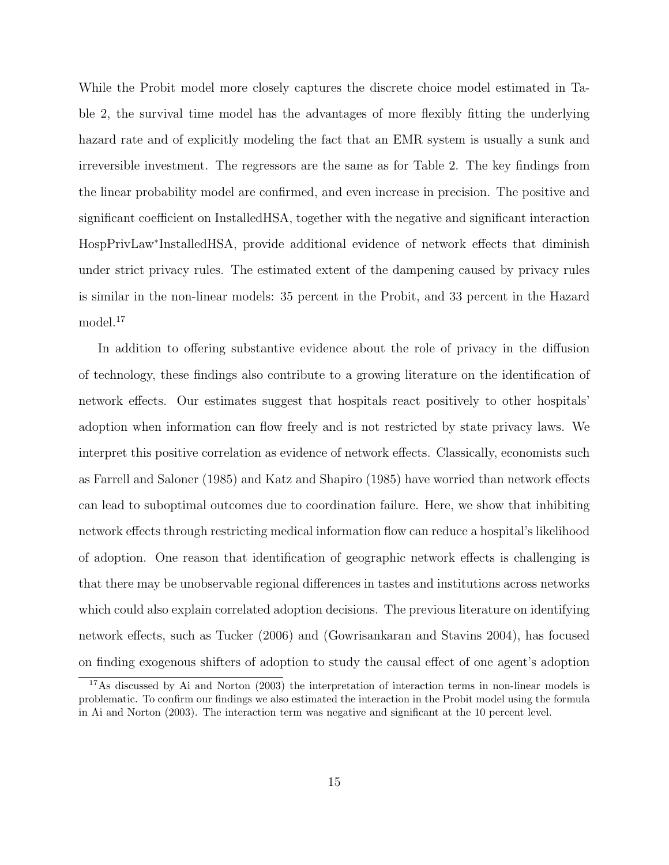While the Probit model more closely captures the discrete choice model estimated in Table [2,](#page-31-0) the survival time model has the advantages of more flexibly fitting the underlying hazard rate and of explicitly modeling the fact that an EMR system is usually a sunk and irreversible investment. The regressors are the same as for Table [2.](#page-31-0) The key findings from the linear probability model are confirmed, and even increase in precision. The positive and significant coefficient on InstalledHSA, together with the negative and significant interaction HospPrivLaw<sup>∗</sup> InstalledHSA, provide additional evidence of network effects that diminish under strict privacy rules. The estimated extent of the dampening caused by privacy rules is similar in the non-linear models: 35 percent in the Probit, and 33 percent in the Hazard model.<sup>17</sup>

In addition to offering substantive evidence about the role of privacy in the diffusion of technology, these findings also contribute to a growing literature on the identification of network effects. Our estimates suggest that hospitals react positively to other hospitals' adoption when information can flow freely and is not restricted by state privacy laws. We interpret this positive correlation as evidence of network effects. Classically, economists such as [Farrell and Saloner \(1985\)](#page-22-10) and [Katz and Shapiro \(1985\)](#page-23-9) have worried than network effects can lead to suboptimal outcomes due to coordination failure. Here, we show that inhibiting network effects through restricting medical information flow can reduce a hospital's likelihood of adoption. One reason that identification of geographic network effects is challenging is that there may be unobservable regional differences in tastes and institutions across networks which could also explain correlated adoption decisions. The previous literature on identifying network effects, such as [Tucker \(2006\)](#page-24-2) and [\(Gowrisankaran and Stavins 2004\)](#page-22-1), has focused on finding exogenous shifters of adoption to study the causal effect of one agent's adoption

 $17\text{As discussed by Ai}$  and Norton (2003) the interpretation of interaction terms in non-linear models is problematic. To confirm our findings we also estimated the interaction in the Probit model using the formula in [Ai and Norton \(2003\).](#page-21-1) The interaction term was negative and significant at the 10 percent level.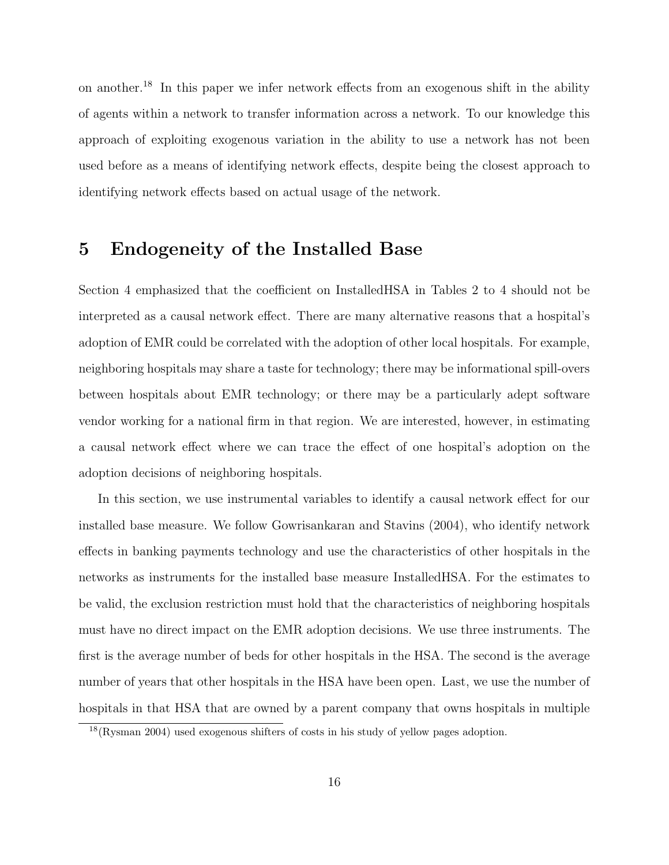on another.<sup>18</sup> In this paper we infer network effects from an exogenous shift in the ability of agents within a network to transfer information across a network. To our knowledge this approach of exploiting exogenous variation in the ability to use a network has not been used before as a means of identifying network effects, despite being the closest approach to identifying network effects based on actual usage of the network.

## <span id="page-15-0"></span>5 Endogeneity of the Installed Base

Section [4](#page-10-0) emphasized that the coefficient on InstalledHSA in Tables [2](#page-31-0) to [4](#page-33-0) should not be interpreted as a causal network effect. There are many alternative reasons that a hospital's adoption of EMR could be correlated with the adoption of other local hospitals. For example, neighboring hospitals may share a taste for technology; there may be informational spill-overs between hospitals about EMR technology; or there may be a particularly adept software vendor working for a national firm in that region. We are interested, however, in estimating a causal network effect where we can trace the effect of one hospital's adoption on the adoption decisions of neighboring hospitals.

In this section, we use instrumental variables to identify a causal network effect for our installed base measure. We follow [Gowrisankaran and Stavins \(2004\),](#page-22-1) who identify network effects in banking payments technology and use the characteristics of other hospitals in the networks as instruments for the installed base measure InstalledHSA. For the estimates to be valid, the exclusion restriction must hold that the characteristics of neighboring hospitals must have no direct impact on the EMR adoption decisions. We use three instruments. The first is the average number of beds for other hospitals in the HSA. The second is the average number of years that other hospitals in the HSA have been open. Last, we use the number of hospitals in that HSA that are owned by a parent company that owns hospitals in multiple

<sup>18</sup>[\(Rysman 2004\)](#page-23-10) used exogenous shifters of costs in his study of yellow pages adoption.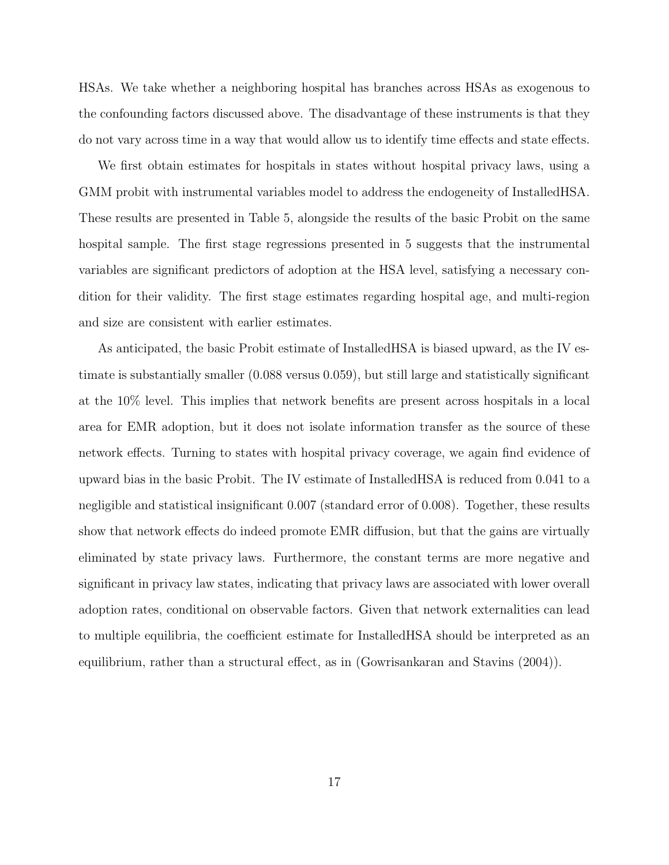HSAs. We take whether a neighboring hospital has branches across HSAs as exogenous to the confounding factors discussed above. The disadvantage of these instruments is that they do not vary across time in a way that would allow us to identify time effects and state effects.

We first obtain estimates for hospitals in states without hospital privacy laws, using a GMM probit with instrumental variables model to address the endogeneity of InstalledHSA. These results are presented in Table [5,](#page-34-0) alongside the results of the basic Probit on the same hospital sample. The first stage regressions presented in [5](#page-34-0) suggests that the instrumental variables are significant predictors of adoption at the HSA level, satisfying a necessary condition for their validity. The first stage estimates regarding hospital age, and multi-region and size are consistent with earlier estimates.

As anticipated, the basic Probit estimate of InstalledHSA is biased upward, as the IV estimate is substantially smaller (0.088 versus 0.059), but still large and statistically significant at the 10% level. This implies that network benefits are present across hospitals in a local area for EMR adoption, but it does not isolate information transfer as the source of these network effects. Turning to states with hospital privacy coverage, we again find evidence of upward bias in the basic Probit. The IV estimate of InstalledHSA is reduced from 0.041 to a negligible and statistical insignificant 0.007 (standard error of 0.008). Together, these results show that network effects do indeed promote EMR diffusion, but that the gains are virtually eliminated by state privacy laws. Furthermore, the constant terms are more negative and significant in privacy law states, indicating that privacy laws are associated with lower overall adoption rates, conditional on observable factors. Given that network externalities can lead to multiple equilibria, the coefficient estimate for InstalledHSA should be interpreted as an equilibrium, rather than a structural effect, as in [\(Gowrisankaran and Stavins \(2004\)\)](#page-22-1).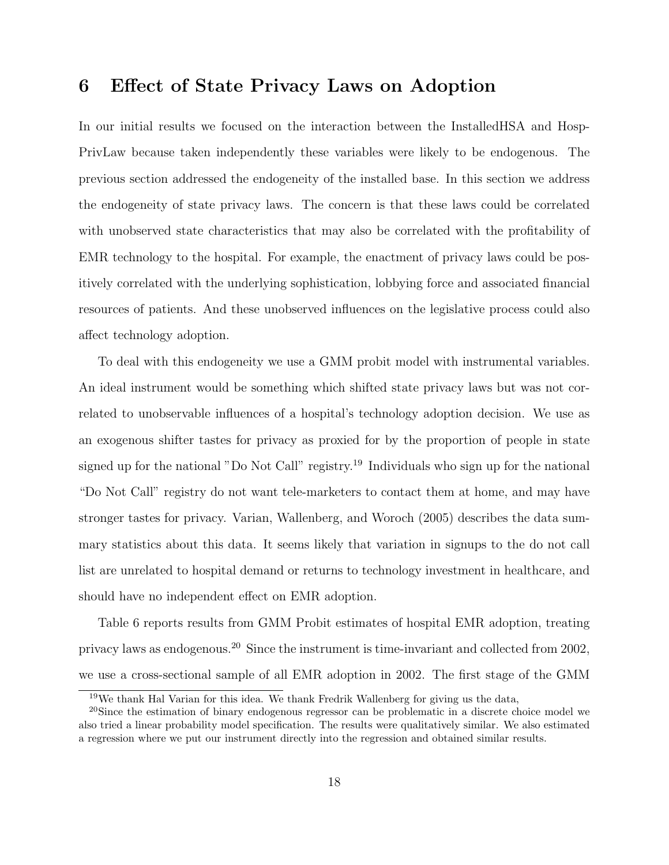### <span id="page-17-0"></span>6 Effect of State Privacy Laws on Adoption

In our initial results we focused on the interaction between the InstalledHSA and Hosp-PrivLaw because taken independently these variables were likely to be endogenous. The previous section addressed the endogeneity of the installed base. In this section we address the endogeneity of state privacy laws. The concern is that these laws could be correlated with unobserved state characteristics that may also be correlated with the profitability of EMR technology to the hospital. For example, the enactment of privacy laws could be positively correlated with the underlying sophistication, lobbying force and associated financial resources of patients. And these unobserved influences on the legislative process could also affect technology adoption.

To deal with this endogeneity we use a GMM probit model with instrumental variables. An ideal instrument would be something which shifted state privacy laws but was not correlated to unobservable influences of a hospital's technology adoption decision. We use as an exogenous shifter tastes for privacy as proxied for by the proportion of people in state signed up for the national "Do Not Call" registry.<sup>19</sup> Individuals who sign up for the national "Do Not Call" registry do not want tele-marketers to contact them at home, and may have stronger tastes for privacy. [Varian, Wallenberg, and Woroch \(2005\)](#page-24-3) describes the data summary statistics about this data. It seems likely that variation in signups to the do not call list are unrelated to hospital demand or returns to technology investment in healthcare, and should have no independent effect on EMR adoption.

Table [6](#page-35-0) reports results from GMM Probit estimates of hospital EMR adoption, treating privacy laws as endogenous.<sup>20</sup> Since the instrument is time-invariant and collected from 2002, we use a cross-sectional sample of all EMR adoption in 2002. The first stage of the GMM

<sup>19</sup>We thank Hal Varian for this idea. We thank Fredrik Wallenberg for giving us the data,

<sup>&</sup>lt;sup>20</sup>Since the estimation of binary endogenous regressor can be problematic in a discrete choice model we also tried a linear probability model specification. The results were qualitatively similar. We also estimated a regression where we put our instrument directly into the regression and obtained similar results.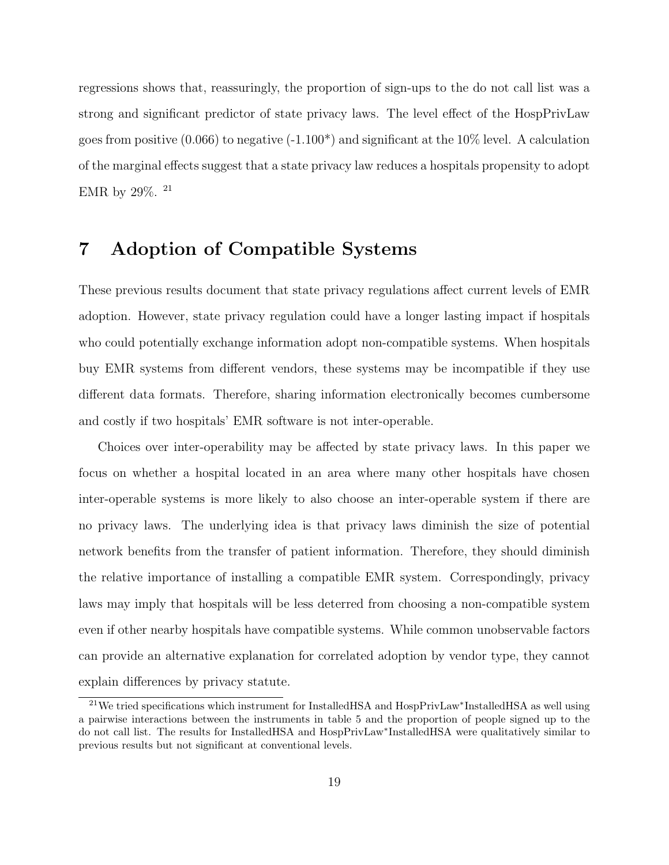regressions shows that, reassuringly, the proportion of sign-ups to the do not call list was a strong and significant predictor of state privacy laws. The level effect of the HospPrivLaw goes from positive (0.066) to negative  $(-1.100^*)$  and significant at the 10% level. A calculation of the marginal effects suggest that a state privacy law reduces a hospitals propensity to adopt EMR by  $29\%$ .  $^{21}$ 

### <span id="page-18-0"></span>7 Adoption of Compatible Systems

These previous results document that state privacy regulations affect current levels of EMR adoption. However, state privacy regulation could have a longer lasting impact if hospitals who could potentially exchange information adopt non-compatible systems. When hospitals buy EMR systems from different vendors, these systems may be incompatible if they use different data formats. Therefore, sharing information electronically becomes cumbersome and costly if two hospitals' EMR software is not inter-operable.

Choices over inter-operability may be affected by state privacy laws. In this paper we focus on whether a hospital located in an area where many other hospitals have chosen inter-operable systems is more likely to also choose an inter-operable system if there are no privacy laws. The underlying idea is that privacy laws diminish the size of potential network benefits from the transfer of patient information. Therefore, they should diminish the relative importance of installing a compatible EMR system. Correspondingly, privacy laws may imply that hospitals will be less deterred from choosing a non-compatible system even if other nearby hospitals have compatible systems. While common unobservable factors can provide an alternative explanation for correlated adoption by vendor type, they cannot explain differences by privacy statute.

<sup>&</sup>lt;sup>21</sup>We tried specifications which instrument for InstalledHSA and HospPrivLaw<sup>∗</sup>InstalledHSA as well using a pairwise interactions between the instruments in table [5](#page-34-0) and the proportion of people signed up to the do not call list. The results for InstalledHSA and HospPrivLaw<sup>∗</sup> InstalledHSA were qualitatively similar to previous results but not significant at conventional levels.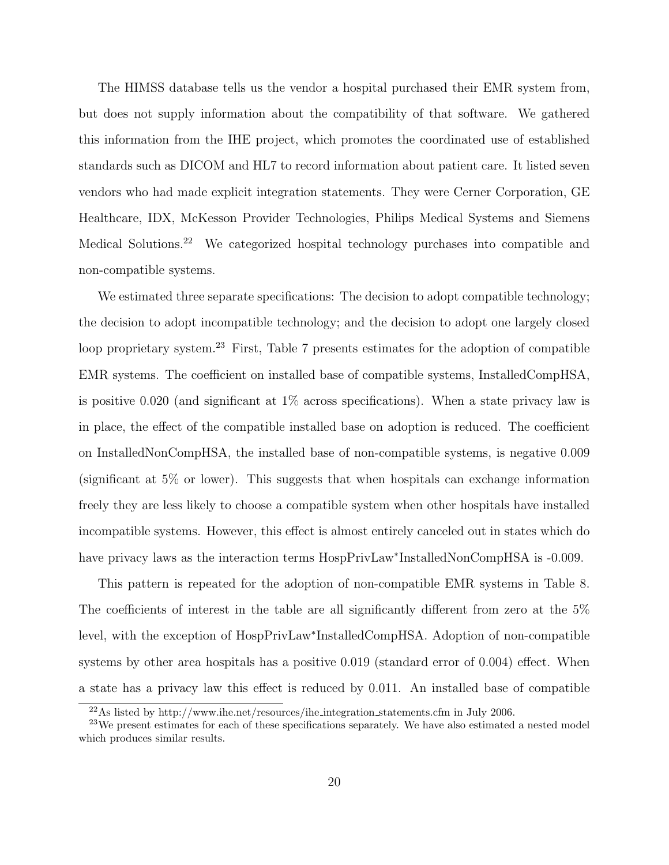The HIMSS database tells us the vendor a hospital purchased their EMR system from, but does not supply information about the compatibility of that software. We gathered this information from the IHE project, which promotes the coordinated use of established standards such as DICOM and HL7 to record information about patient care. It listed seven vendors who had made explicit integration statements. They were Cerner Corporation, GE Healthcare, IDX, McKesson Provider Technologies, Philips Medical Systems and Siemens Medical Solutions.<sup>22</sup> We categorized hospital technology purchases into compatible and non-compatible systems.

We estimated three separate specifications: The decision to adopt compatible technology; the decision to adopt incompatible technology; and the decision to adopt one largely closed loop proprietary system.<sup>23</sup> First, Table [7](#page-36-0) presents estimates for the adoption of compatible EMR systems. The coefficient on installed base of compatible systems, InstalledCompHSA, is positive 0.020 (and significant at 1% across specifications). When a state privacy law is in place, the effect of the compatible installed base on adoption is reduced. The coefficient on InstalledNonCompHSA, the installed base of non-compatible systems, is negative 0.009 (significant at 5% or lower). This suggests that when hospitals can exchange information freely they are less likely to choose a compatible system when other hospitals have installed incompatible systems. However, this effect is almost entirely canceled out in states which do have privacy laws as the interaction terms HospPrivLaw<sup>∗</sup> InstalledNonCompHSA is -0.009.

This pattern is repeated for the adoption of non-compatible EMR systems in Table [8.](#page-37-0) The coefficients of interest in the table are all significantly different from zero at the 5% level, with the exception of HospPrivLaw<sup>∗</sup> InstalledCompHSA. Adoption of non-compatible systems by other area hospitals has a positive 0.019 (standard error of 0.004) effect. When a state has a privacy law this effect is reduced by 0.011. An installed base of compatible

 $^{22}\mathrm{As}$  listed by http://www.ihe.net/resources/ihe\_integration\_statements.cfm in July 2006.

<sup>&</sup>lt;sup>23</sup>We present estimates for each of these specifications separately. We have also estimated a nested model which produces similar results.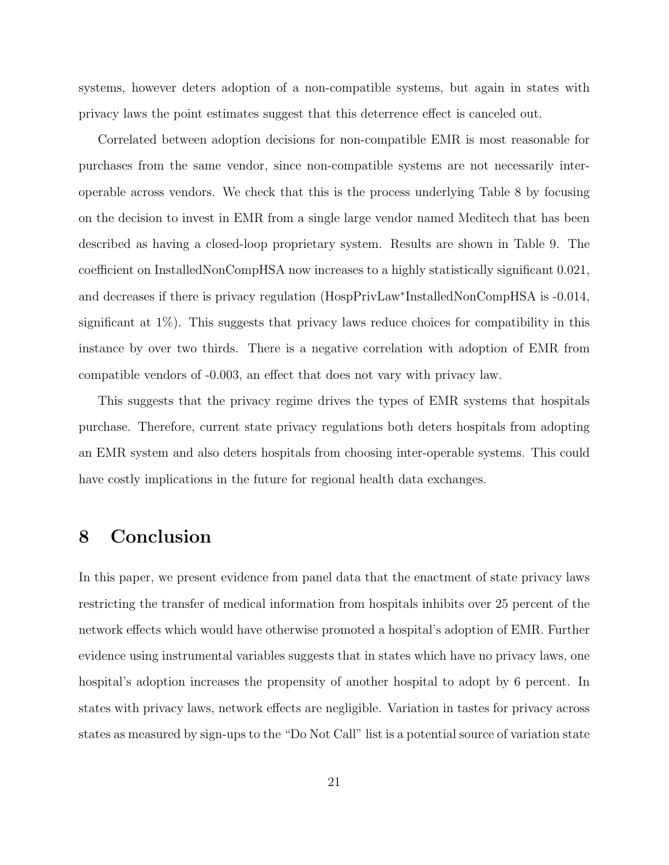systems, however deters adoption of a non-compatible systems, but again in states with privacy laws the point estimates suggest that this deterrence effect is canceled out.

Correlated between adoption decisions for non-compatible EMR is most reasonable for purchases from the same vendor, since non-compatible systems are not necessarily interoperable across vendors. We check that this is the process underlying Table [8](#page-37-0) by focusing on the decision to invest in EMR from a single large vendor named Meditech that has been described as having a closed-loop proprietary system. Results are shown in Table [9.](#page-38-0) The coefficient on InstalledNonCompHSA now increases to a highly statistically significant 0.021, and decreases if there is privacy regulation (HospPrivLaw<sup>∗</sup> InstalledNonCompHSA is -0.014, significant at 1%). This suggests that privacy laws reduce choices for compatibility in this instance by over two thirds. There is a negative correlation with adoption of EMR from compatible vendors of -0.003, an effect that does not vary with privacy law.

This suggests that the privacy regime drives the types of EMR systems that hospitals purchase. Therefore, current state privacy regulations both deters hospitals from adopting an EMR system and also deters hospitals from choosing inter-operable systems. This could have costly implications in the future for regional health data exchanges.

### 8 Conclusion

In this paper, we present evidence from panel data that the enactment of state privacy laws restricting the transfer of medical information from hospitals inhibits over 25 percent of the network effects which would have otherwise promoted a hospital's adoption of EMR. Further evidence using instrumental variables suggests that in states which have no privacy laws, one hospital's adoption increases the propensity of another hospital to adopt by 6 percent. In states with privacy laws, network effects are negligible. Variation in tastes for privacy across states as measured by sign-ups to the "Do Not Call" list is a potential source of variation state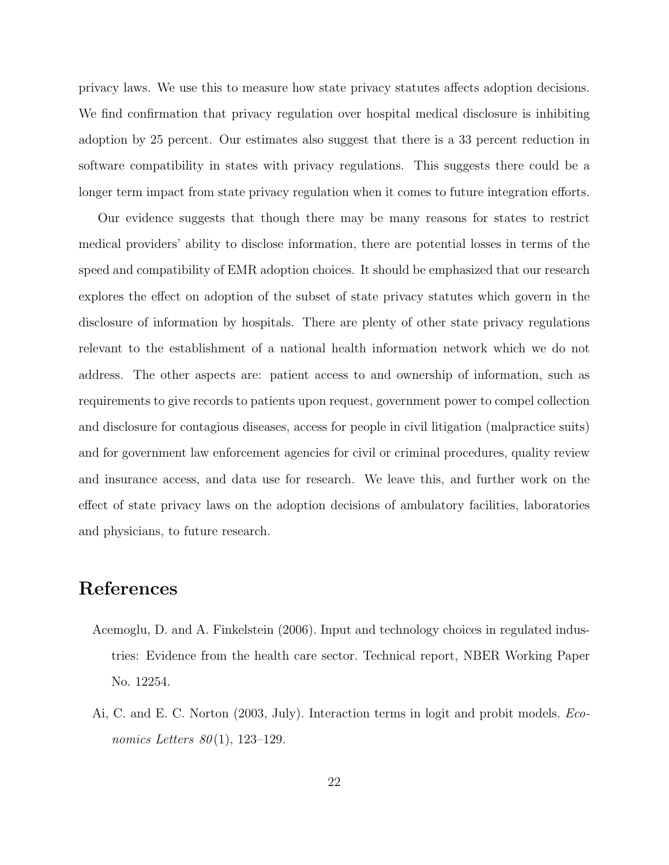privacy laws. We use this to measure how state privacy statutes affects adoption decisions. We find confirmation that privacy regulation over hospital medical disclosure is inhibiting adoption by 25 percent. Our estimates also suggest that there is a 33 percent reduction in software compatibility in states with privacy regulations. This suggests there could be a longer term impact from state privacy regulation when it comes to future integration efforts.

Our evidence suggests that though there may be many reasons for states to restrict medical providers' ability to disclose information, there are potential losses in terms of the speed and compatibility of EMR adoption choices. It should be emphasized that our research explores the effect on adoption of the subset of state privacy statutes which govern in the disclosure of information by hospitals. There are plenty of other state privacy regulations relevant to the establishment of a national health information network which we do not address. The other aspects are: patient access to and ownership of information, such as requirements to give records to patients upon request, government power to compel collection and disclosure for contagious diseases, access for people in civil litigation (malpractice suits) and for government law enforcement agencies for civil or criminal procedures, quality review and insurance access, and data use for research. We leave this, and further work on the effect of state privacy laws on the adoption decisions of ambulatory facilities, laboratories and physicians, to future research.

### References

- <span id="page-21-0"></span>Acemoglu, D. and A. Finkelstein (2006). Input and technology choices in regulated industries: Evidence from the health care sector. Technical report, NBER Working Paper No. 12254.
- <span id="page-21-1"></span>Ai, C. and E. C. Norton (2003, July). Interaction terms in logit and probit models. Economics Letters  $80(1)$ , 123–129.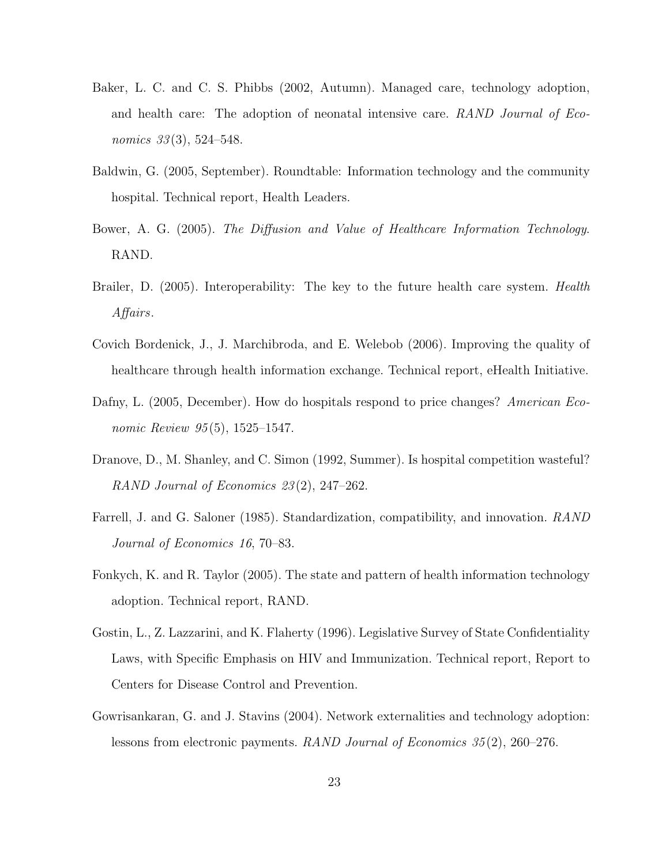- <span id="page-22-9"></span>Baker, L. C. and C. S. Phibbs (2002, Autumn). Managed care, technology adoption, and health care: The adoption of neonatal intensive care. RAND Journal of Economics  $33(3)$ , 524–548.
- <span id="page-22-6"></span>Baldwin, G. (2005, September). Roundtable: Information technology and the community hospital. Technical report, Health Leaders.
- <span id="page-22-4"></span>Bower, A. G. (2005). The Diffusion and Value of Healthcare Information Technology. RAND.
- <span id="page-22-0"></span>Brailer, D. (2005). Interoperability: The key to the future health care system. *Health* Affairs.
- <span id="page-22-8"></span>Covich Bordenick, J., J. Marchibroda, and E. Welebob (2006). Improving the quality of healthcare through health information exchange. Technical report, eHealth Initiative.
- <span id="page-22-5"></span>Dafny, L. (2005, December). How do hospitals respond to price changes? American Economic Review 95(5), 1525–1547.
- <span id="page-22-7"></span>Dranove, D., M. Shanley, and C. Simon (1992, Summer). Is hospital competition wasteful? RAND Journal of Economics 23 (2), 247–262.
- <span id="page-22-10"></span>Farrell, J. and G. Saloner (1985). Standardization, compatibility, and innovation. RAND Journal of Economics 16, 70–83.
- <span id="page-22-3"></span>Fonkych, K. and R. Taylor (2005). The state and pattern of health information technology adoption. Technical report, RAND.
- <span id="page-22-2"></span>Gostin, L., Z. Lazzarini, and K. Flaherty (1996). Legislative Survey of State Confidentiality Laws, with Specific Emphasis on HIV and Immunization. Technical report, Report to Centers for Disease Control and Prevention.
- <span id="page-22-1"></span>Gowrisankaran, G. and J. Stavins (2004). Network externalities and technology adoption: lessons from electronic payments. RAND Journal of Economics 35 (2), 260–276.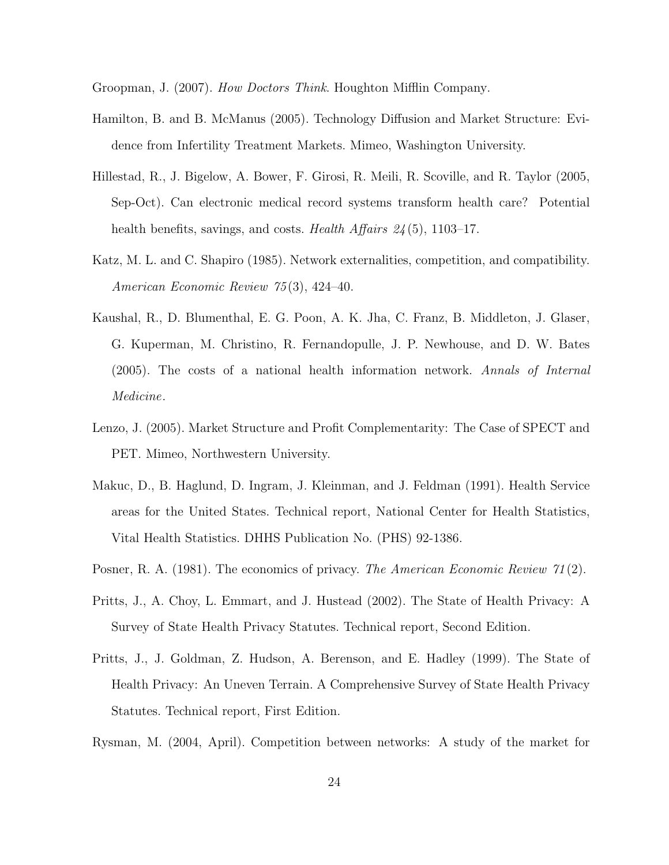<span id="page-23-8"></span><span id="page-23-5"></span>Groopman, J. (2007). How Doctors Think. Houghton Mifflin Company.

- Hamilton, B. and B. McManus (2005). Technology Diffusion and Market Structure: Evidence from Infertility Treatment Markets. Mimeo, Washington University.
- <span id="page-23-0"></span>Hillestad, R., J. Bigelow, A. Bower, F. Girosi, R. Meili, R. Scoville, and R. Taylor (2005, Sep-Oct). Can electronic medical record systems transform health care? Potential health benefits, savings, and costs. Health Affairs  $24(5)$ , 1103–17.
- <span id="page-23-9"></span>Katz, M. L. and C. Shapiro (1985). Network externalities, competition, and compatibility. American Economic Review 75 (3), 424–40.
- <span id="page-23-2"></span>Kaushal, R., D. Blumenthal, E. G. Poon, A. K. Jha, C. Franz, B. Middleton, J. Glaser, G. Kuperman, M. Christino, R. Fernandopulle, J. P. Newhouse, and D. W. Bates (2005). The costs of a national health information network. Annals of Internal Medicine.
- <span id="page-23-7"></span>Lenzo, J. (2005). Market Structure and Profit Complementarity: The Case of SPECT and PET. Mimeo, Northwestern University.
- <span id="page-23-6"></span>Makuc, D., B. Haglund, D. Ingram, J. Kleinman, and J. Feldman (1991). Health Service areas for the United States. Technical report, National Center for Health Statistics, Vital Health Statistics. DHHS Publication No. (PHS) 92-1386.
- <span id="page-23-3"></span><span id="page-23-1"></span>Posner, R. A. (1981). The economics of privacy. The American Economic Review 71(2).
- Pritts, J., A. Choy, L. Emmart, and J. Hustead (2002). The State of Health Privacy: A Survey of State Health Privacy Statutes. Technical report, Second Edition.
- <span id="page-23-4"></span>Pritts, J., J. Goldman, Z. Hudson, A. Berenson, and E. Hadley (1999). The State of Health Privacy: An Uneven Terrain. A Comprehensive Survey of State Health Privacy Statutes. Technical report, First Edition.
- <span id="page-23-10"></span>Rysman, M. (2004, April). Competition between networks: A study of the market for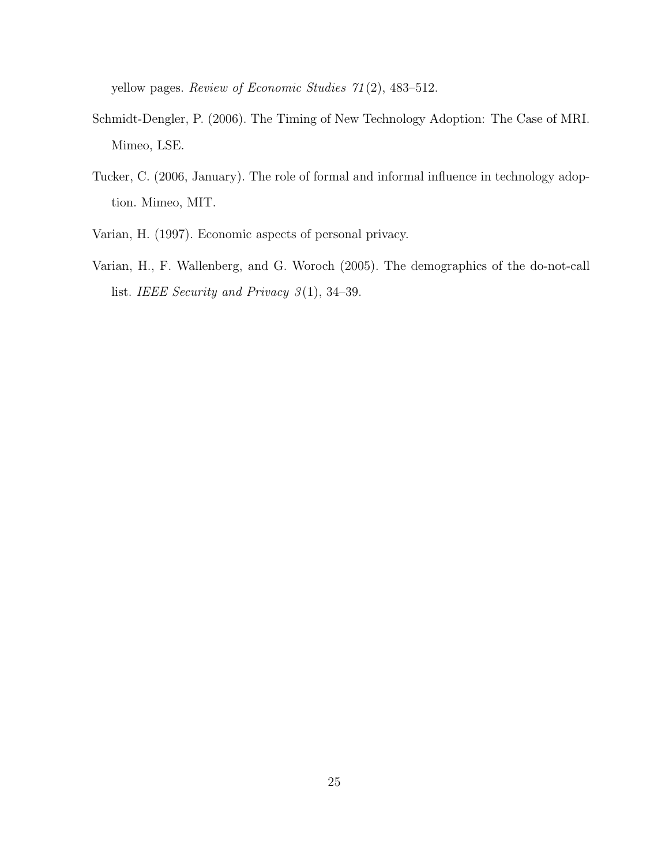yellow pages. Review of Economic Studies 71 (2), 483–512.

- <span id="page-24-1"></span>Schmidt-Dengler, P. (2006). The Timing of New Technology Adoption: The Case of MRI. Mimeo, LSE.
- <span id="page-24-2"></span>Tucker, C. (2006, January). The role of formal and informal influence in technology adoption. Mimeo, MIT.
- <span id="page-24-3"></span><span id="page-24-0"></span>Varian, H. (1997). Economic aspects of personal privacy.
- Varian, H., F. Wallenberg, and G. Woroch (2005). The demographics of the do-not-call list. IEEE Security and Privacy  $3(1)$ , 34–39.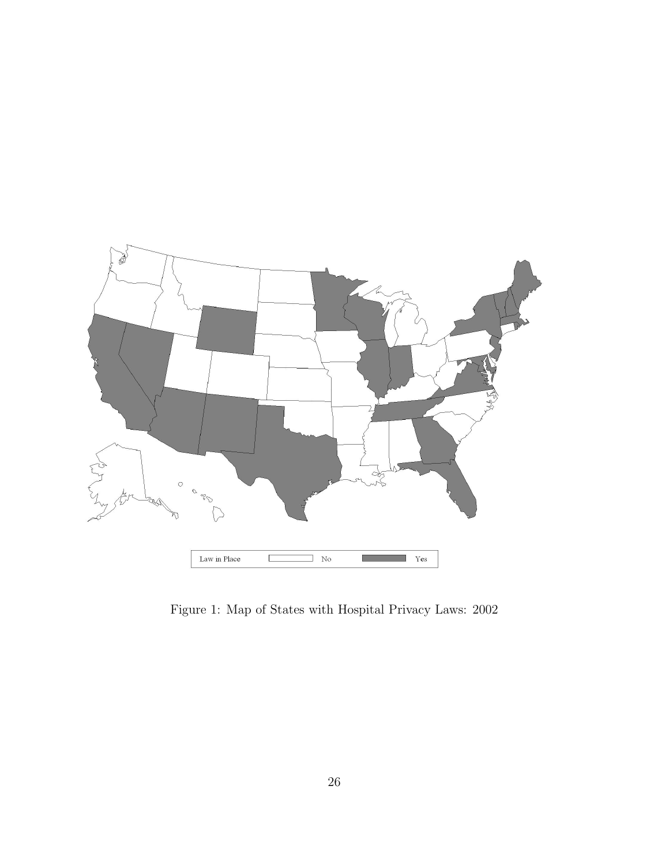

<span id="page-25-0"></span>Figure 1: Map of States with Hospital Privacy Laws: 2002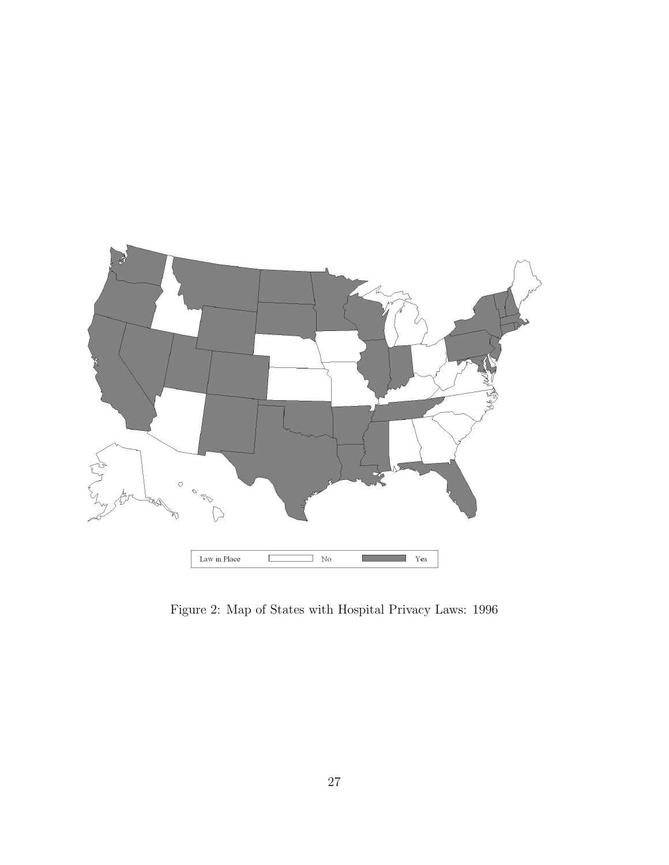

<span id="page-26-0"></span>Figure 2: Map of States with Hospital Privacy Laws: 1996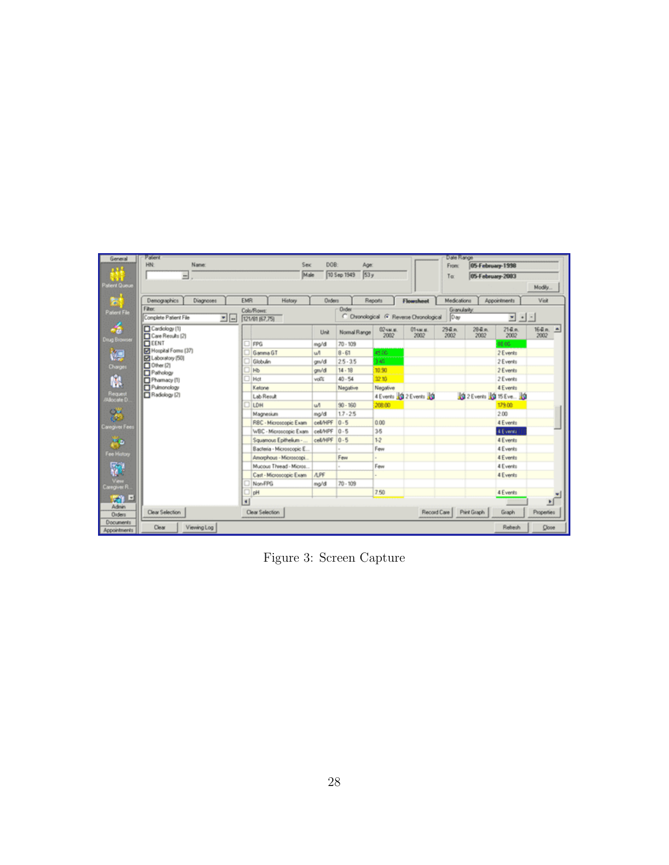| General               | Patent                                             |                          |               |                    |          |                                         | <b>Date Hange</b> |                           |                          |
|-----------------------|----------------------------------------------------|--------------------------|---------------|--------------------|----------|-----------------------------------------|-------------------|---------------------------|--------------------------|
| 1,774                 | HN:<br>Name:                                       | Sex                      | DOB:          | Age                |          |                                         | <b>From:</b>      | 05 February 1998          |                          |
|                       | ⇒                                                  | Male                     |               | 53y<br>10 Sep 1949 |          |                                         | Toc               | 05-February-2003          |                          |
| stient Queue          |                                                    |                          |               |                    |          |                                         |                   |                           | Modily.                  |
|                       |                                                    |                          |               |                    |          |                                         |                   |                           |                          |
| F.                    | Demographics<br>Diagnoses                          | EMR<br>History           | <b>Orders</b> |                    | Reports  | Flowsheet                               | Medications       | Appointments              | Viat                     |
| Patient File          | Fiber:                                             | Colu/Rower               |               | <b>Order</b>       |          |                                         | Granularity:      |                           |                          |
|                       | Complete Patient File<br>비트                        | 121/81 057,751           |               |                    |          | C Chronological G Reverse Chronological | Day               | 본 신의                      |                          |
| 46                    | Cardology (1)                                      |                          | Unit          | Normal Range       | 02-м п.  | 01-м п.                                 | 29 B.O.           | 284.91<br>214.9.          | 164 п.<br>$\blacksquare$ |
| <b>Inug Browser</b>   | Care Results (2)                                   |                          |               |                    | 2002     | 2002                                    | 2002              | 2002<br>2002              | 2002                     |
|                       | <b>EENT</b>                                        | FPG                      | mg/d          | $70 - 109$         |          |                                         |                   | 88.05                     |                          |
| t.                    | <b>D3</b> Hospital Forms (37)<br>E Laboratory (50) | Gamma GT                 | un            | $8 - 61$           | 45.00    |                                         |                   | 2 Events                  |                          |
| Charges               | $\Box$ Other (2)                                   | Globules                 | am/d          | $25 - 35$          | 340      |                                         |                   | 2 Events                  |                          |
|                       | Pathology                                          | <b>Hb</b>                | an/d          | $14 - 18$          | 10.90    |                                         |                   | 2 Events                  |                          |
| Ŵ                     | Phamacy (1)                                        | Het                      | volt          | 40.54              | 32.10    |                                         |                   | 2 Events                  |                          |
|                       | Pulmonology                                        | Ketone                   |               | Negative           | Negative |                                         |                   | 4 Events                  |                          |
| Request<br>Mocale D   | Radology (2)                                       | Lab Result               |               |                    |          | 4 Events 10 2 Events 10                 |                   | 0 2 Events 10 15 Eve., 10 |                          |
|                       |                                                    | LDH                      | un            | $90 - 160$         | 208.00   |                                         |                   | 179.00                    |                          |
| 85                    |                                                    | Magnesium                | ma/d          | $17 - 25$          |          |                                         |                   | 2.00                      |                          |
| <b>Caregives Fees</b> |                                                    | RBC - Microscopic Exam   | cell/HPF      | 0.5                | 0.00     |                                         |                   | 4 Events                  |                          |
|                       |                                                    | WBC - Microscopic Exam   | cel/HPF       | $0 - 5$            | 35       |                                         |                   | 300000                    |                          |
| <b>PB</b>             |                                                    | Squamous Epithelium - .  | cel/HPF       | $0 - 5$            | $1-2$    |                                         |                   | 4 Events                  |                          |
|                       |                                                    | Bacteria - Microscopic E |               |                    | Few      |                                         |                   | 4 Events                  |                          |
| Fee History           |                                                    | Amorphous - Microscopi   |               | Few                | $\sim$   |                                         |                   | 4 Events                  |                          |
| ø                     |                                                    | Mucous Thread - Micros   |               |                    | Few      |                                         |                   | 4 Events                  |                          |
|                       |                                                    | Cast - Microscopic Exam  | <b>APF</b>    |                    | ×.       |                                         |                   | 4 Events                  |                          |
| View<br>Caregiver R   |                                                    | Non-FPG                  | mg/d          | $70 - 109$         |          |                                         |                   |                           |                          |
|                       |                                                    | pH                       |               |                    | 7.50     |                                         |                   | 4 Events                  |                          |
| 문위 모                  |                                                    | ×١                       |               |                    |          |                                         |                   |                           | $\mathbf{E}$             |
| Admin<br>Orders       | Clear Selection                                    | Clear Selection          |               |                    |          | Record Care                             |                   | Print Graph<br>Graph      | Properties               |
| <b>Documents</b>      |                                                    |                          |               |                    |          |                                         |                   |                           |                          |
| Appointments          | Clear<br>Viewing Log                               |                          |               |                    |          |                                         |                   | Rehech                    | Close                    |

<span id="page-27-0"></span>Figure 3: Screen Capture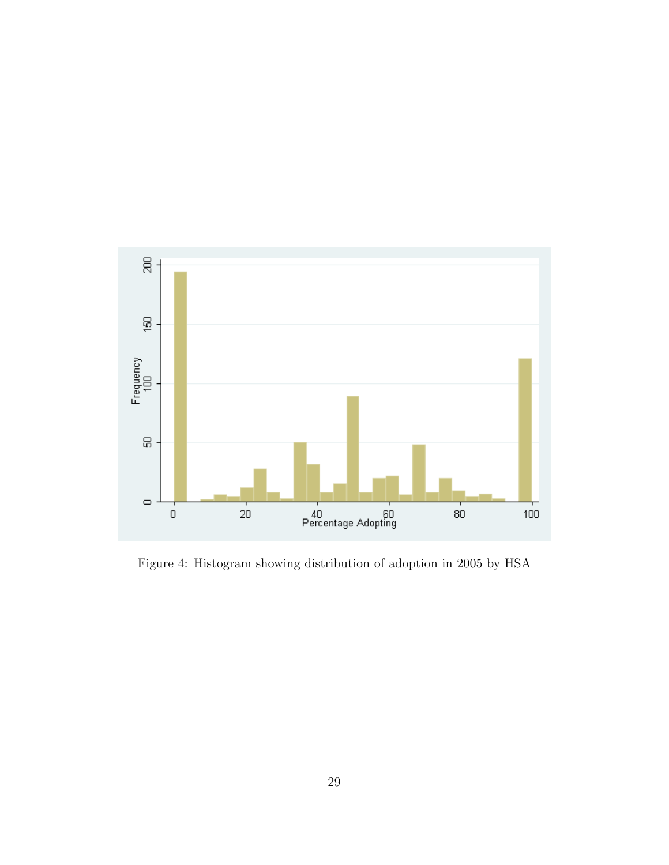

<span id="page-28-0"></span>Figure 4: Histogram showing distribution of adoption in 2005 by HSA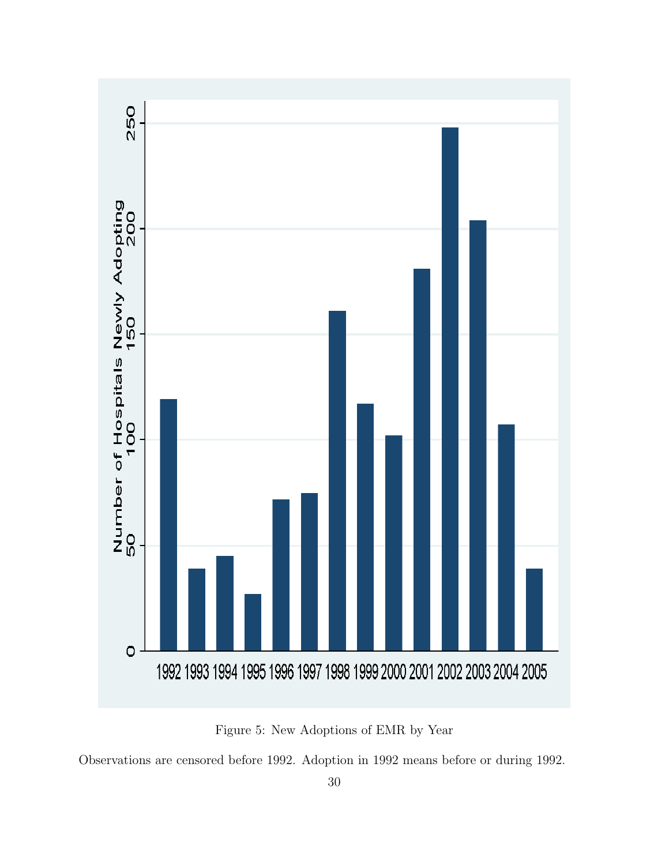

Figure 5: New Adoptions of EMR by Year

<span id="page-29-0"></span>Observations are censored before 1992. Adoption in 1992 means before or during 1992.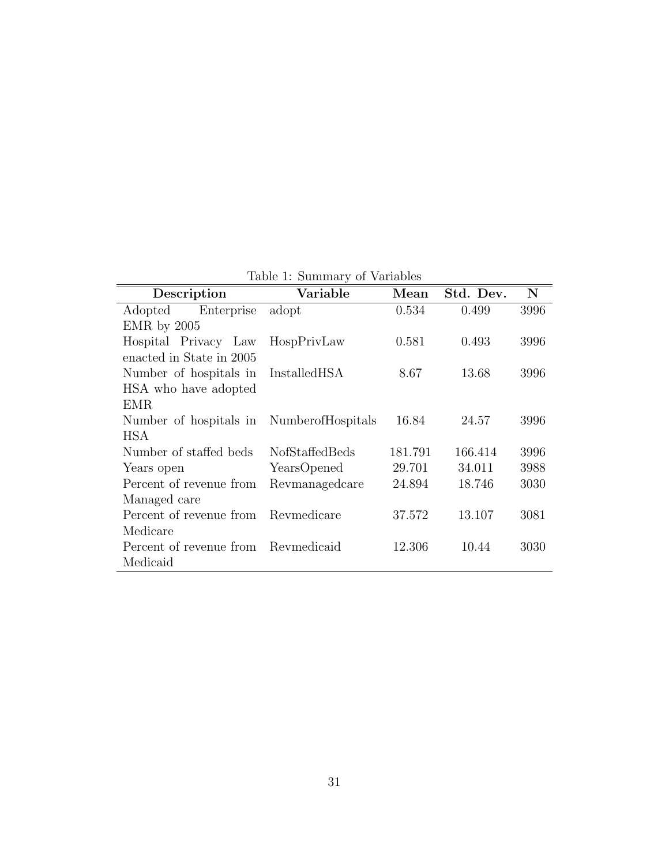<span id="page-30-0"></span>

| Description              | Variable          | Mean    | Std. Dev. | N    |
|--------------------------|-------------------|---------|-----------|------|
| Enterprise<br>Adopted    | adopt             | 0.534   | 0.499     | 3996 |
| $EMR$ by $2005$          |                   |         |           |      |
| Hospital Privacy Law     | HospPrivLaw       | 0.581   | 0.493     | 3996 |
| enacted in State in 2005 |                   |         |           |      |
| Number of hospitals in   | InstalledHSA      | 8.67    | 13.68     | 3996 |
| HSA who have adopted     |                   |         |           |      |
| EMR                      |                   |         |           |      |
| Number of hospitals in   | NumberofHospitals | 16.84   | 24.57     | 3996 |
| <b>HSA</b>               |                   |         |           |      |
| Number of staffed beds   | NofStaffedBeds    | 181.791 | 166.414   | 3996 |
| Years open               | YearsOpened       | 29.701  | 34.011    | 3988 |
| Percent of revenue from  | Revmanagedcare    | 24.894  | 18.746    | 3030 |
| Managed care             |                   |         |           |      |
| Percent of revenue from  | Revmedicare       | 37.572  | 13.107    | 3081 |
| Medicare                 |                   |         |           |      |
| Percent of revenue from  | Revmedicaid       | 12.306  | 10.44     | 3030 |
| Medicaid                 |                   |         |           |      |

Table 1: Summary of Variables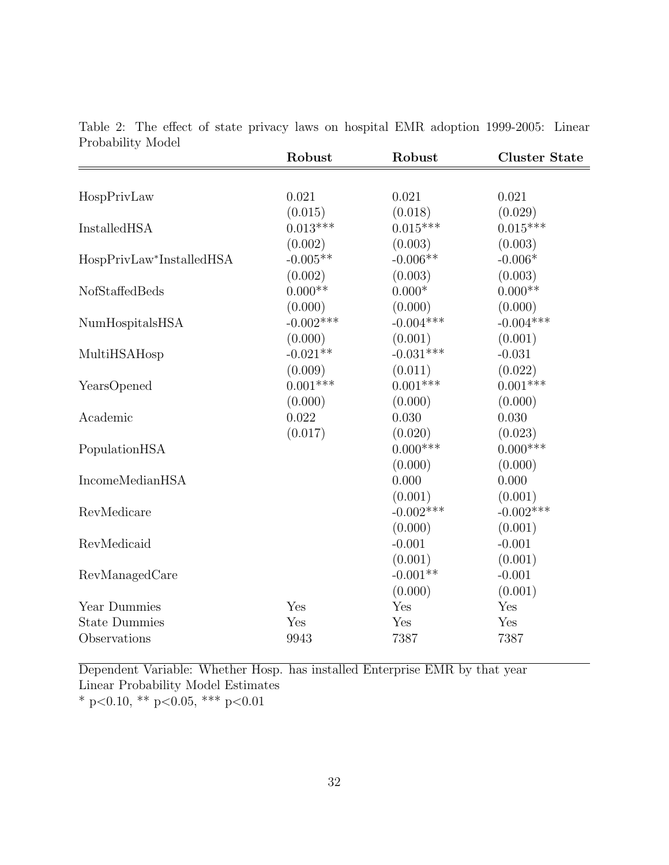| I TODADIIITY MOUST       | Robust      | Robust      | <b>Cluster State</b> |
|--------------------------|-------------|-------------|----------------------|
|                          |             |             |                      |
| HospPrivLaw              | 0.021       | 0.021       | 0.021                |
|                          | (0.015)     | (0.018)     | (0.029)              |
| InstalledHSA             | $0.013***$  | $0.015***$  | $0.015***$           |
|                          | (0.002)     | (0.003)     | (0.003)              |
| HospPrivLaw*InstalledHSA | $-0.005**$  | $-0.006**$  | $-0.006*$            |
|                          | (0.002)     | (0.003)     | (0.003)              |
| NofStaffedBeds           | $0.000**$   | $0.000*$    | $0.000**$            |
|                          | (0.000)     | (0.000)     | (0.000)              |
| NumHospitalsHSA          | $-0.002***$ | $-0.004***$ | $-0.004***$          |
|                          | (0.000)     | (0.001)     | (0.001)              |
| MultiHSAHosp             | $-0.021**$  | $-0.031***$ | $-0.031$             |
|                          | (0.009)     | (0.011)     | (0.022)              |
| YearsOpened              | $0.001***$  | $0.001***$  | $0.001***$           |
|                          | (0.000)     | (0.000)     | (0.000)              |
| Academic                 | 0.022       | 0.030       | 0.030                |
|                          | (0.017)     | (0.020)     | (0.023)              |
| PopulationHSA            |             | $0.000$ *** | $0.000***$           |
|                          |             | (0.000)     | (0.000)              |
| IncomeMedianHSA          |             | 0.000       | 0.000                |
|                          |             | (0.001)     | (0.001)              |
| RevMedicare              |             | $-0.002***$ | $-0.002***$          |
|                          |             | (0.000)     | (0.001)              |
| RevMedicaid              |             | $-0.001$    | $-0.001$             |
|                          |             | (0.001)     | (0.001)              |
| RevManagedCare           |             | $-0.001**$  | $-0.001$             |
|                          |             | (0.000)     | (0.001)              |
| Year Dummies             | Yes         | Yes         | Yes                  |
| <b>State Dummies</b>     | Yes         | Yes         | Yes                  |
| Observations             | 9943        | 7387        | 7387                 |
|                          |             |             |                      |

<span id="page-31-0"></span>Table 2: The effect of state privacy laws on hospital EMR adoption 1999-2005: Linear Probability Model

Dependent Variable: Whether Hosp. has installed Enterprise EMR by that year Linear Probability Model Estimates \* p<0.10, \*\* p<0.05, \*\*\* p<0.01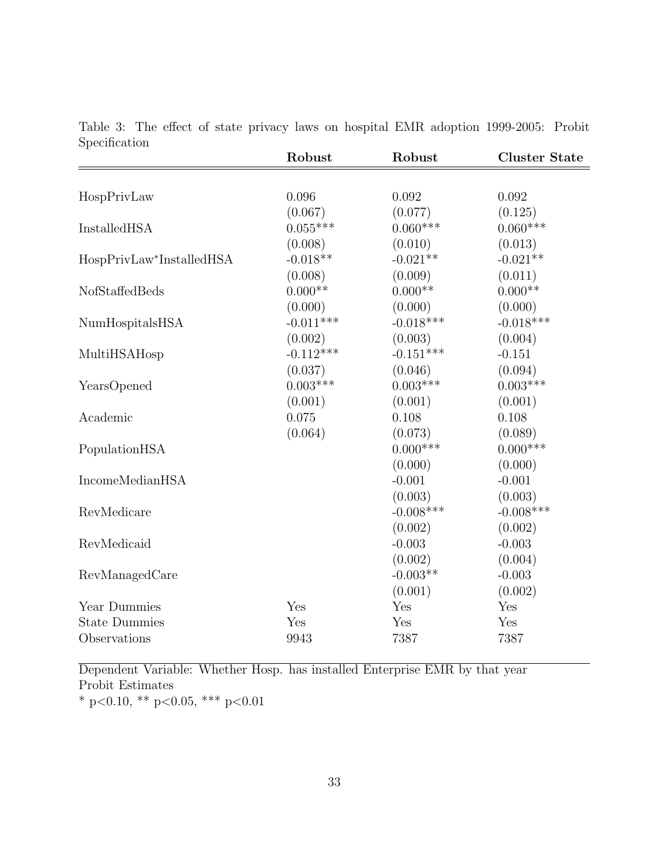| әресшсалоп               | Robust      | Robust      | <b>Cluster State</b> |
|--------------------------|-------------|-------------|----------------------|
|                          |             |             |                      |
| HospPrivLaw              | 0.096       | 0.092       | 0.092                |
|                          | (0.067)     | (0.077)     | (0.125)              |
| InstalledHSA             | $0.055***$  | $0.060***$  | $0.060***$           |
|                          | (0.008)     | (0.010)     | (0.013)              |
| HospPrivLaw*InstalledHSA | $-0.018**$  | $-0.021**$  | $-0.021**$           |
|                          | (0.008)     | (0.009)     | (0.011)              |
| NofStaffedBeds           | $0.000**$   | $0.000**$   | $0.000**$            |
|                          | (0.000)     | (0.000)     | (0.000)              |
| NumHospitalsHSA          | $-0.011***$ | $-0.018***$ | $-0.018***$          |
|                          | (0.002)     | (0.003)     | (0.004)              |
| MultiHSAHosp             | $-0.112***$ | $-0.151***$ | $-0.151$             |
|                          | (0.037)     | (0.046)     | (0.094)              |
| YearsOpened              | $0.003***$  | $0.003***$  | $0.003***$           |
|                          | (0.001)     | (0.001)     | (0.001)              |
| Academic                 | 0.075       | 0.108       | 0.108                |
|                          | (0.064)     | (0.073)     | (0.089)              |
| PopulationHSA            |             | $0.000***$  | $0.000***$           |
|                          |             | (0.000)     | (0.000)              |
| IncomeMedianHSA          |             | $-0.001$    | $-0.001$             |
|                          |             | (0.003)     | (0.003)              |
| RevMedicare              |             | $-0.008***$ | $-0.008$ ***         |
|                          |             | (0.002)     | (0.002)              |
| RevMedicaid              |             | $-0.003$    | $-0.003$             |
|                          |             | (0.002)     | (0.004)              |
| RevManagedCare           |             | $-0.003**$  | $-0.003$             |
|                          |             | (0.001)     | (0.002)              |
| Year Dummies             | Yes         | Yes         | Yes                  |
| <b>State Dummies</b>     | Yes         | Yes         | Yes                  |
| Observations             | 9943        | 7387        | 7387                 |

<span id="page-32-0"></span>Table 3: The effect of state privacy laws on hospital EMR adoption 1999-2005: Probit Specification

Dependent Variable: Whether Hosp. has installed Enterprise EMR by that year Probit Estimates \* p<0.10, \*\* p<0.05, \*\*\* p<0.01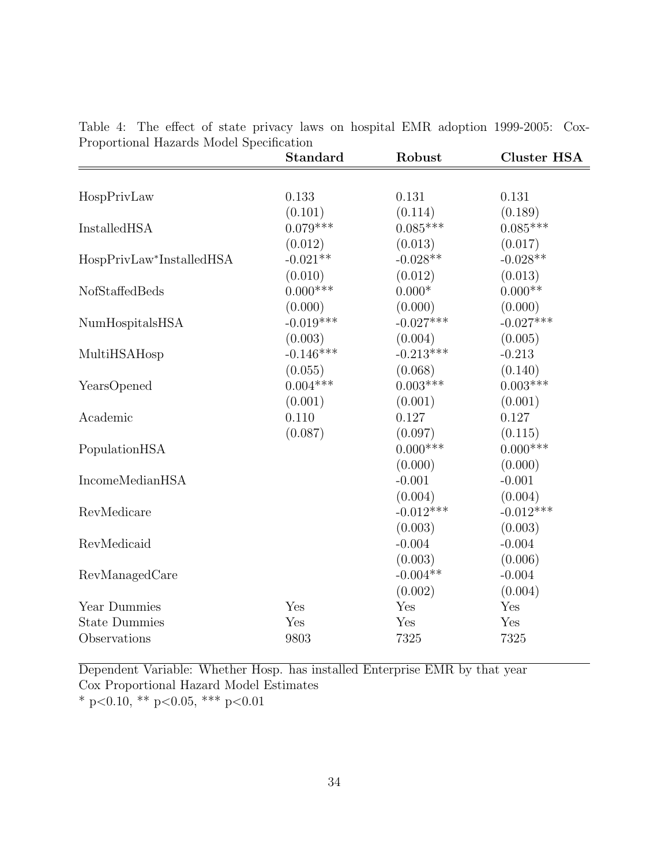| Proportional Hazards Model Specification | <b>Standard</b> | Robust      | <b>Cluster HSA</b> |
|------------------------------------------|-----------------|-------------|--------------------|
|                                          |                 |             |                    |
| HospPrivLaw                              | 0.133           | 0.131       | 0.131              |
|                                          | (0.101)         | (0.114)     | (0.189)            |
| InstalledHSA                             | $0.079***$      | $0.085***$  | $0.085***$         |
|                                          | (0.012)         | (0.013)     | (0.017)            |
| HospPrivLaw*InstalledHSA                 | $-0.021**$      | $-0.028**$  | $-0.028**$         |
|                                          | (0.010)         | (0.012)     | (0.013)            |
| NofStaffedBeds                           | $0.000***$      | $0.000*$    | $0.000**$          |
|                                          | (0.000)         | (0.000)     | (0.000)            |
| NumHospitalsHSA                          | $-0.019***$     | $-0.027***$ | $-0.027***$        |
|                                          | (0.003)         | (0.004)     | (0.005)            |
| MultiHSAHosp                             | $-0.146***$     | $-0.213***$ | $-0.213$           |
|                                          | (0.055)         | (0.068)     | (0.140)            |
| YearsOpened                              | $0.004***$      | $0.003***$  | $0.003***$         |
|                                          | (0.001)         | (0.001)     | (0.001)            |
| Academic                                 | 0.110           | 0.127       | 0.127              |
|                                          | (0.087)         | (0.097)     | (0.115)            |
| PopulationHSA                            |                 | $0.000***$  | $0.000$ ***        |
|                                          |                 | (0.000)     | (0.000)            |
| IncomeMedianHSA                          |                 | $-0.001$    | $-0.001$           |
|                                          |                 | (0.004)     | (0.004)            |
| RevMedicare                              |                 | $-0.012***$ | $-0.012***$        |
|                                          |                 | (0.003)     | (0.003)            |
| RevMedicaid                              |                 | $-0.004$    | $-0.004$           |
|                                          |                 | (0.003)     | (0.006)            |
| RevManagedCare                           |                 | $-0.004**$  | $-0.004$           |
|                                          |                 | (0.002)     | (0.004)            |
| Year Dummies                             | Yes             | Yes         | Yes                |
| <b>State Dummies</b>                     | Yes             | Yes         | Yes                |
| Observations                             | 9803            | 7325        | 7325               |

<span id="page-33-0"></span>Table 4: The effect of state privacy laws on hospital EMR adoption 1999-2005: Cox-<br>Proportional Hazards Model Specification Proportional Hazards Model Specification

Dependent Variable: Whether Hosp. has installed Enterprise EMR by that year Cox Proportional Hazard Model Estimates \* p<0.10, \*\* p<0.05, \*\*\* p<0.01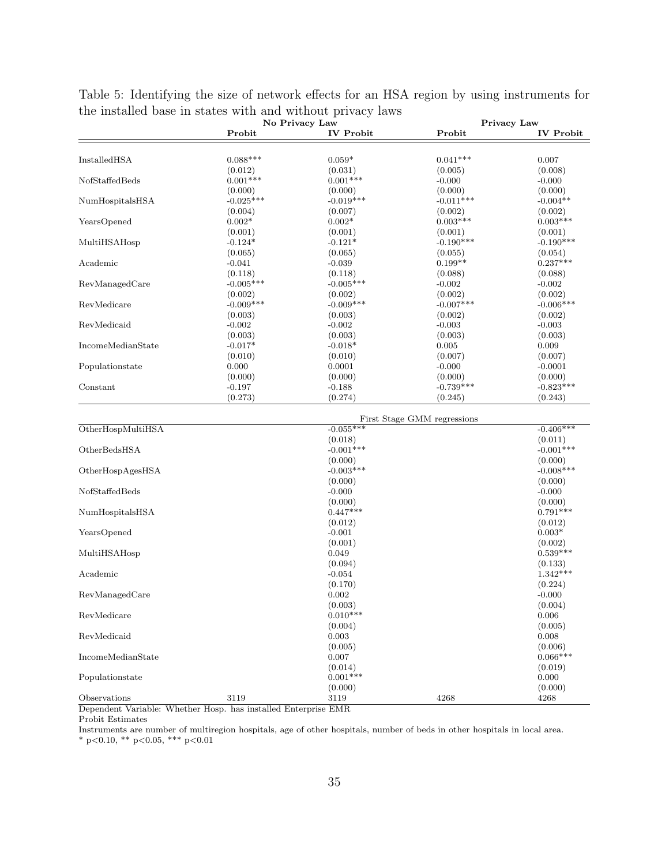| Probit<br><b>IV Probit</b><br>Probit<br>$0.088***$<br>InstalledHSA<br>$0.059*$<br>$0.041***$<br>0.007<br>(0.012)<br>(0.031)<br>(0.005)<br>(0.008)<br>$0.001***$<br>$0.001***$<br>NofStaffedBeds<br>$-0.000$<br>$-0.000$<br>(0.000)<br>(0.000)<br>(0.000)<br>(0.000)<br>$-0.025***$<br>$-0.019***$<br>$-0.011***$<br>$-0.004**$<br>NumHospitalsHSA<br>(0.004)<br>(0.007)<br>(0.002)<br>(0.002)<br>$0.002*$<br>$0.002*$<br>$0.003***$<br>$0.003***$<br>YearsOpened<br>(0.001)<br>(0.001)<br>(0.001)<br>(0.001)<br>$-0.124*$<br>$-0.121*$<br>$-0.190***$<br>$-0.190***$<br>MultiHSAHosp<br>(0.065)<br>(0.065)<br>(0.055)<br>(0.054)<br>$0.237***$<br>$0.199**$<br>Academic<br>$-0.041$<br>$-0.039$<br>(0.118)<br>(0.118)<br>(0.088)<br>(0.088)<br>$-0.005***$<br>$-0.005***$<br>RevManagedCare<br>$-0.002$<br>$-0.002$<br>(0.002)<br>(0.002)<br>(0.002)<br>(0.002)<br>$-0.009***$<br>$-0.009***$<br>$-0.007***$<br>$-0.006***$<br>RevMedicare<br>(0.003)<br>(0.003)<br>(0.002)<br>(0.002)<br>RevMedicaid<br>$-0.002$<br>$-0.002$<br>$-0.003$<br>$-0.003$<br>(0.003)<br>(0.003)<br>(0.003)<br>(0.003)<br>$-0.017*$<br>IncomeMedianState<br>$-0.018*$<br>0.005<br>0.009<br>(0.010)<br>(0.010)<br>(0.007)<br>(0.007)<br>0.000<br>0.0001<br>Populationstate<br>$-0.000$<br>$-0.0001$ |         | No Privacy Law |         | Privacy Law      |
|-------------------------------------------------------------------------------------------------------------------------------------------------------------------------------------------------------------------------------------------------------------------------------------------------------------------------------------------------------------------------------------------------------------------------------------------------------------------------------------------------------------------------------------------------------------------------------------------------------------------------------------------------------------------------------------------------------------------------------------------------------------------------------------------------------------------------------------------------------------------------------------------------------------------------------------------------------------------------------------------------------------------------------------------------------------------------------------------------------------------------------------------------------------------------------------------------------------------------------------------------------------------------------|---------|----------------|---------|------------------|
|                                                                                                                                                                                                                                                                                                                                                                                                                                                                                                                                                                                                                                                                                                                                                                                                                                                                                                                                                                                                                                                                                                                                                                                                                                                                               |         |                |         | <b>IV Probit</b> |
|                                                                                                                                                                                                                                                                                                                                                                                                                                                                                                                                                                                                                                                                                                                                                                                                                                                                                                                                                                                                                                                                                                                                                                                                                                                                               |         |                |         |                  |
|                                                                                                                                                                                                                                                                                                                                                                                                                                                                                                                                                                                                                                                                                                                                                                                                                                                                                                                                                                                                                                                                                                                                                                                                                                                                               |         |                |         |                  |
|                                                                                                                                                                                                                                                                                                                                                                                                                                                                                                                                                                                                                                                                                                                                                                                                                                                                                                                                                                                                                                                                                                                                                                                                                                                                               |         |                |         |                  |
|                                                                                                                                                                                                                                                                                                                                                                                                                                                                                                                                                                                                                                                                                                                                                                                                                                                                                                                                                                                                                                                                                                                                                                                                                                                                               |         |                |         |                  |
|                                                                                                                                                                                                                                                                                                                                                                                                                                                                                                                                                                                                                                                                                                                                                                                                                                                                                                                                                                                                                                                                                                                                                                                                                                                                               |         |                |         |                  |
|                                                                                                                                                                                                                                                                                                                                                                                                                                                                                                                                                                                                                                                                                                                                                                                                                                                                                                                                                                                                                                                                                                                                                                                                                                                                               |         |                |         |                  |
|                                                                                                                                                                                                                                                                                                                                                                                                                                                                                                                                                                                                                                                                                                                                                                                                                                                                                                                                                                                                                                                                                                                                                                                                                                                                               |         |                |         |                  |
|                                                                                                                                                                                                                                                                                                                                                                                                                                                                                                                                                                                                                                                                                                                                                                                                                                                                                                                                                                                                                                                                                                                                                                                                                                                                               |         |                |         |                  |
|                                                                                                                                                                                                                                                                                                                                                                                                                                                                                                                                                                                                                                                                                                                                                                                                                                                                                                                                                                                                                                                                                                                                                                                                                                                                               |         |                |         |                  |
|                                                                                                                                                                                                                                                                                                                                                                                                                                                                                                                                                                                                                                                                                                                                                                                                                                                                                                                                                                                                                                                                                                                                                                                                                                                                               |         |                |         |                  |
|                                                                                                                                                                                                                                                                                                                                                                                                                                                                                                                                                                                                                                                                                                                                                                                                                                                                                                                                                                                                                                                                                                                                                                                                                                                                               |         |                |         |                  |
|                                                                                                                                                                                                                                                                                                                                                                                                                                                                                                                                                                                                                                                                                                                                                                                                                                                                                                                                                                                                                                                                                                                                                                                                                                                                               |         |                |         |                  |
|                                                                                                                                                                                                                                                                                                                                                                                                                                                                                                                                                                                                                                                                                                                                                                                                                                                                                                                                                                                                                                                                                                                                                                                                                                                                               |         |                |         |                  |
|                                                                                                                                                                                                                                                                                                                                                                                                                                                                                                                                                                                                                                                                                                                                                                                                                                                                                                                                                                                                                                                                                                                                                                                                                                                                               |         |                |         |                  |
|                                                                                                                                                                                                                                                                                                                                                                                                                                                                                                                                                                                                                                                                                                                                                                                                                                                                                                                                                                                                                                                                                                                                                                                                                                                                               |         |                |         |                  |
|                                                                                                                                                                                                                                                                                                                                                                                                                                                                                                                                                                                                                                                                                                                                                                                                                                                                                                                                                                                                                                                                                                                                                                                                                                                                               |         |                |         |                  |
|                                                                                                                                                                                                                                                                                                                                                                                                                                                                                                                                                                                                                                                                                                                                                                                                                                                                                                                                                                                                                                                                                                                                                                                                                                                                               |         |                |         |                  |
|                                                                                                                                                                                                                                                                                                                                                                                                                                                                                                                                                                                                                                                                                                                                                                                                                                                                                                                                                                                                                                                                                                                                                                                                                                                                               |         |                |         |                  |
|                                                                                                                                                                                                                                                                                                                                                                                                                                                                                                                                                                                                                                                                                                                                                                                                                                                                                                                                                                                                                                                                                                                                                                                                                                                                               |         |                |         |                  |
|                                                                                                                                                                                                                                                                                                                                                                                                                                                                                                                                                                                                                                                                                                                                                                                                                                                                                                                                                                                                                                                                                                                                                                                                                                                                               |         |                |         |                  |
|                                                                                                                                                                                                                                                                                                                                                                                                                                                                                                                                                                                                                                                                                                                                                                                                                                                                                                                                                                                                                                                                                                                                                                                                                                                                               |         |                |         |                  |
|                                                                                                                                                                                                                                                                                                                                                                                                                                                                                                                                                                                                                                                                                                                                                                                                                                                                                                                                                                                                                                                                                                                                                                                                                                                                               |         |                |         |                  |
|                                                                                                                                                                                                                                                                                                                                                                                                                                                                                                                                                                                                                                                                                                                                                                                                                                                                                                                                                                                                                                                                                                                                                                                                                                                                               | (0.000) | (0.000)        | (0.000) | (0.000)          |
| $-0.739***$<br>$-0.823***$<br>Constant<br>$-0.197$<br>$-0.188$                                                                                                                                                                                                                                                                                                                                                                                                                                                                                                                                                                                                                                                                                                                                                                                                                                                                                                                                                                                                                                                                                                                                                                                                                |         |                |         |                  |
| (0.273)<br>(0.274)<br>(0.245)<br>(0.243)                                                                                                                                                                                                                                                                                                                                                                                                                                                                                                                                                                                                                                                                                                                                                                                                                                                                                                                                                                                                                                                                                                                                                                                                                                      |         |                |         |                  |
|                                                                                                                                                                                                                                                                                                                                                                                                                                                                                                                                                                                                                                                                                                                                                                                                                                                                                                                                                                                                                                                                                                                                                                                                                                                                               |         |                |         |                  |
| First Stage GMM regressions<br>$-0.406***$                                                                                                                                                                                                                                                                                                                                                                                                                                                                                                                                                                                                                                                                                                                                                                                                                                                                                                                                                                                                                                                                                                                                                                                                                                    |         |                |         |                  |
| OtherHospMultiHSA<br>$-0.055***$                                                                                                                                                                                                                                                                                                                                                                                                                                                                                                                                                                                                                                                                                                                                                                                                                                                                                                                                                                                                                                                                                                                                                                                                                                              |         |                |         |                  |
| (0.018)<br>(0.011)<br>$-0.001***$<br>$-0.001***$                                                                                                                                                                                                                                                                                                                                                                                                                                                                                                                                                                                                                                                                                                                                                                                                                                                                                                                                                                                                                                                                                                                                                                                                                              |         |                |         |                  |
| OtherBedsHSA                                                                                                                                                                                                                                                                                                                                                                                                                                                                                                                                                                                                                                                                                                                                                                                                                                                                                                                                                                                                                                                                                                                                                                                                                                                                  |         |                |         |                  |
| (0.000)<br>(0.000)<br>$-0.003***$<br>$-0.008***$                                                                                                                                                                                                                                                                                                                                                                                                                                                                                                                                                                                                                                                                                                                                                                                                                                                                                                                                                                                                                                                                                                                                                                                                                              |         |                |         |                  |
| OtherHospAgesHSA<br>(0.000)<br>(0.000)                                                                                                                                                                                                                                                                                                                                                                                                                                                                                                                                                                                                                                                                                                                                                                                                                                                                                                                                                                                                                                                                                                                                                                                                                                        |         |                |         |                  |
| NofStaffedBeds<br>$-0.000$<br>$-0.000$                                                                                                                                                                                                                                                                                                                                                                                                                                                                                                                                                                                                                                                                                                                                                                                                                                                                                                                                                                                                                                                                                                                                                                                                                                        |         |                |         |                  |
| (0.000)<br>(0.000)                                                                                                                                                                                                                                                                                                                                                                                                                                                                                                                                                                                                                                                                                                                                                                                                                                                                                                                                                                                                                                                                                                                                                                                                                                                            |         |                |         |                  |
| $0.447***$<br>$0.791***$<br>NumHospitalsHSA                                                                                                                                                                                                                                                                                                                                                                                                                                                                                                                                                                                                                                                                                                                                                                                                                                                                                                                                                                                                                                                                                                                                                                                                                                   |         |                |         |                  |
| (0.012)<br>(0.012)                                                                                                                                                                                                                                                                                                                                                                                                                                                                                                                                                                                                                                                                                                                                                                                                                                                                                                                                                                                                                                                                                                                                                                                                                                                            |         |                |         |                  |
| YearsOpened<br>$-0.001$<br>$0.003*$                                                                                                                                                                                                                                                                                                                                                                                                                                                                                                                                                                                                                                                                                                                                                                                                                                                                                                                                                                                                                                                                                                                                                                                                                                           |         |                |         |                  |
| (0.001)<br>(0.002)                                                                                                                                                                                                                                                                                                                                                                                                                                                                                                                                                                                                                                                                                                                                                                                                                                                                                                                                                                                                                                                                                                                                                                                                                                                            |         |                |         |                  |
| $0.539***$<br>0.049<br>MultiHSAHosp                                                                                                                                                                                                                                                                                                                                                                                                                                                                                                                                                                                                                                                                                                                                                                                                                                                                                                                                                                                                                                                                                                                                                                                                                                           |         |                |         |                  |
| (0.094)<br>(0.133)                                                                                                                                                                                                                                                                                                                                                                                                                                                                                                                                                                                                                                                                                                                                                                                                                                                                                                                                                                                                                                                                                                                                                                                                                                                            |         |                |         |                  |
| $1.342***$<br>Academic<br>$-0.054$                                                                                                                                                                                                                                                                                                                                                                                                                                                                                                                                                                                                                                                                                                                                                                                                                                                                                                                                                                                                                                                                                                                                                                                                                                            |         |                |         |                  |
| (0.170)<br>(0.224)                                                                                                                                                                                                                                                                                                                                                                                                                                                                                                                                                                                                                                                                                                                                                                                                                                                                                                                                                                                                                                                                                                                                                                                                                                                            |         |                |         |                  |
| 0.002<br>$-0.000$<br>RevManagedCare                                                                                                                                                                                                                                                                                                                                                                                                                                                                                                                                                                                                                                                                                                                                                                                                                                                                                                                                                                                                                                                                                                                                                                                                                                           |         |                |         |                  |
| (0.003)<br>(0.004)                                                                                                                                                                                                                                                                                                                                                                                                                                                                                                                                                                                                                                                                                                                                                                                                                                                                                                                                                                                                                                                                                                                                                                                                                                                            |         |                |         |                  |
| $0.010***$<br>RevMedicare<br>0.006                                                                                                                                                                                                                                                                                                                                                                                                                                                                                                                                                                                                                                                                                                                                                                                                                                                                                                                                                                                                                                                                                                                                                                                                                                            |         |                |         |                  |
| (0.004)<br>(0.005)                                                                                                                                                                                                                                                                                                                                                                                                                                                                                                                                                                                                                                                                                                                                                                                                                                                                                                                                                                                                                                                                                                                                                                                                                                                            |         |                |         |                  |
| $0.003\,$<br>RevMedicaid<br>0.008                                                                                                                                                                                                                                                                                                                                                                                                                                                                                                                                                                                                                                                                                                                                                                                                                                                                                                                                                                                                                                                                                                                                                                                                                                             |         |                |         |                  |
| (0.005)<br>(0.006)                                                                                                                                                                                                                                                                                                                                                                                                                                                                                                                                                                                                                                                                                                                                                                                                                                                                                                                                                                                                                                                                                                                                                                                                                                                            |         |                |         |                  |
| $0.066***$<br>IncomeMedianState<br>0.007                                                                                                                                                                                                                                                                                                                                                                                                                                                                                                                                                                                                                                                                                                                                                                                                                                                                                                                                                                                                                                                                                                                                                                                                                                      |         |                |         |                  |
| (0.014)<br>(0.019)                                                                                                                                                                                                                                                                                                                                                                                                                                                                                                                                                                                                                                                                                                                                                                                                                                                                                                                                                                                                                                                                                                                                                                                                                                                            |         |                |         |                  |
| $0.001***$<br>0.000<br>Populationstate                                                                                                                                                                                                                                                                                                                                                                                                                                                                                                                                                                                                                                                                                                                                                                                                                                                                                                                                                                                                                                                                                                                                                                                                                                        |         |                |         |                  |
| (0.000)<br>(0.000)                                                                                                                                                                                                                                                                                                                                                                                                                                                                                                                                                                                                                                                                                                                                                                                                                                                                                                                                                                                                                                                                                                                                                                                                                                                            |         |                |         |                  |
| $3119\,$<br>Observations<br>4268<br>4268<br>3119                                                                                                                                                                                                                                                                                                                                                                                                                                                                                                                                                                                                                                                                                                                                                                                                                                                                                                                                                                                                                                                                                                                                                                                                                              |         |                |         |                  |

<span id="page-34-0"></span>Table 5: Identifying the size of network effects for an HSA region by using instruments for the installed base in states with and without privacy laws

Dependent Variable: Whether Hosp. has installed Enterprise EMR

Probit Estimates

Instruments are number of multiregion hospitals, age of other hospitals, number of beds in other hospitals in local area. \* p<0.10, \*\* p<0.05, \*\*\* p<0.01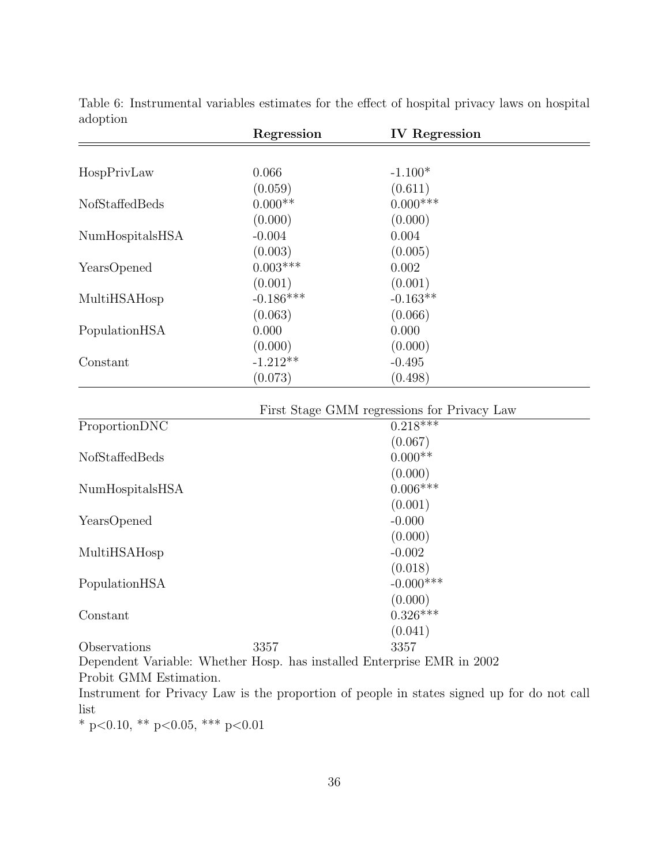|                                        | Regression  | <b>IV</b> Regression                        |  |
|----------------------------------------|-------------|---------------------------------------------|--|
|                                        |             |                                             |  |
| HospPrivLaw                            | 0.066       | $-1.100*$                                   |  |
|                                        | (0.059)     | (0.611)                                     |  |
| NofStaffedBeds                         | $0.000**$   | $0.000***$                                  |  |
|                                        | (0.000)     | (0.000)                                     |  |
| NumHospitalsHSA                        | $-0.004$    | 0.004                                       |  |
|                                        | (0.003)     | (0.005)                                     |  |
| YearsOpened                            | $0.003***$  | 0.002                                       |  |
|                                        | (0.001)     | (0.001)                                     |  |
| MultiHSAHosp                           | $-0.186***$ | $-0.163**$                                  |  |
|                                        | (0.063)     | (0.066)                                     |  |
| PopulationHSA                          | 0.000       | 0.000                                       |  |
|                                        | (0.000)     | (0.000)                                     |  |
| Constant                               | $-1.212**$  | $-0.495$                                    |  |
|                                        | (0.073)     | (0.498)                                     |  |
|                                        |             | First Stage GMM regressions for Privacy Law |  |
| ProportionDNC                          |             | $0.218***$                                  |  |
|                                        |             | (0.067)                                     |  |
| NofStaffedBeds                         |             | $0.000**$                                   |  |
|                                        |             | (0.000)                                     |  |
| NumHospitalsHSA                        |             | $0.006***$                                  |  |
|                                        |             | (0.001)                                     |  |
| YearsOpened                            |             | $-0.000$                                    |  |
|                                        |             | (0.000)                                     |  |
| MultiHSAHosp                           |             | $-0.002$                                    |  |
|                                        |             | (0.018)                                     |  |
| PopulationHSA                          |             | $-0.000$ ***                                |  |
|                                        |             | (0.000)                                     |  |
| Constant                               |             | $0.326***$                                  |  |
|                                        |             | (0.041)                                     |  |
| Observations                           | 3357        | 3357                                        |  |
| $\cdot$ $\cdot$ $\cdot$<br><b>TTT1</b> | T           | $\mathbf{r}$                                |  |

<span id="page-35-0"></span>Table 6: Instrumental variables estimates for the effect of hospital privacy laws on hospital adoption

Dependent Variable: Whether Hosp. has installed Enterprise EMR in 2002 Probit GMM Estimation.

Instrument for Privacy Law is the proportion of people in states signed up for do not call list

 $^*$  p<0.10,  $^{**}$  p<0.05,  $^{***}$  p<0.01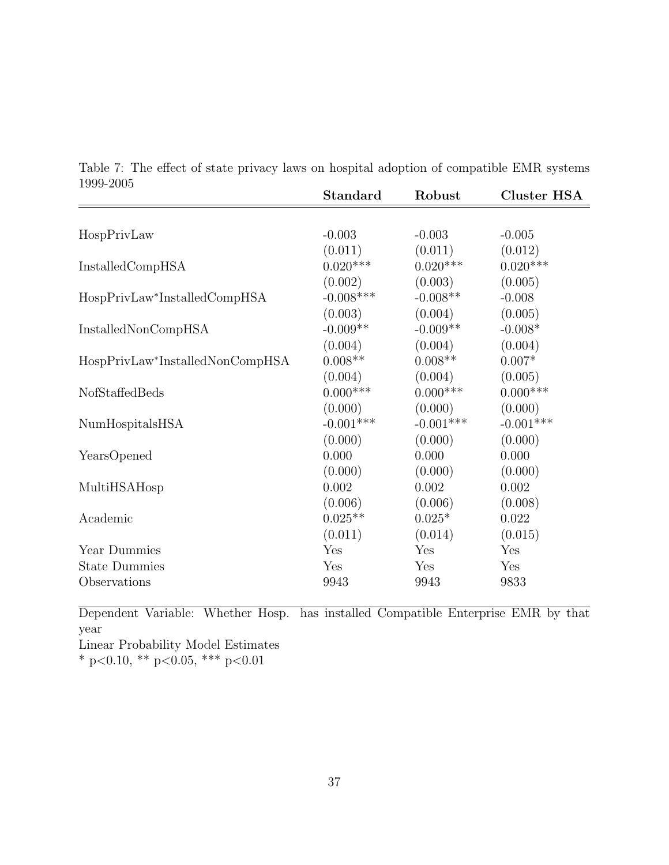|                                 | <b>Standard</b> | Robust      | <b>Cluster HSA</b> |
|---------------------------------|-----------------|-------------|--------------------|
|                                 |                 |             |                    |
| HospPrivLaw                     | $-0.003$        | $-0.003$    | $-0.005$           |
|                                 | (0.011)         | (0.011)     | (0.012)            |
| <b>InstalledCompHSA</b>         | $0.020***$      | $0.020***$  | $0.020***$         |
|                                 | (0.002)         | (0.003)     | (0.005)            |
| HospPrivLaw*InstalledCompHSA    | $-0.008$ ***    | $-0.008**$  | $-0.008$           |
|                                 | (0.003)         | (0.004)     | (0.005)            |
| InstalledNonCompHSA             | $-0.009**$      | $-0.009**$  | $-0.008*$          |
|                                 | (0.004)         | (0.004)     | (0.004)            |
| HospPrivLaw*InstalledNonCompHSA | $0.008**$       | $0.008**$   | $0.007*$           |
|                                 | (0.004)         | (0.004)     | (0.005)            |
| NofStaffedBeds                  | $0.000***$      | $0.000$ *** | $0.000***$         |
|                                 | (0.000)         | (0.000)     | (0.000)            |
| NumHospitalsHSA                 | $-0.001***$     | $-0.001***$ | $-0.001***$        |
|                                 | (0.000)         | (0.000)     | (0.000)            |
| YearsOpened                     | 0.000           | 0.000       | 0.000              |
|                                 | (0.000)         | (0.000)     | (0.000)            |
| MultiHSAHosp                    | 0.002           | 0.002       | 0.002              |
|                                 | (0.006)         | (0.006)     | (0.008)            |
| Academic                        | $0.025**$       | $0.025*$    | 0.022              |
|                                 | (0.011)         | (0.014)     | (0.015)            |
| Year Dummies                    | Yes             | Yes         | Yes                |
| <b>State Dummies</b>            | Yes             | Yes         | Yes                |
| Observations                    | 9943            | 9943        | 9833               |
|                                 |                 |             |                    |

<span id="page-36-0"></span>Table 7: The effect of state privacy laws on hospital adoption of compatible EMR systems 1999-2005

Dependent Variable: Whether Hosp. has installed Compatible Enterprise EMR by that year

Linear Probability Model Estimates

\* p<0.10, \*\* p<0.05, \*\*\* p<0.01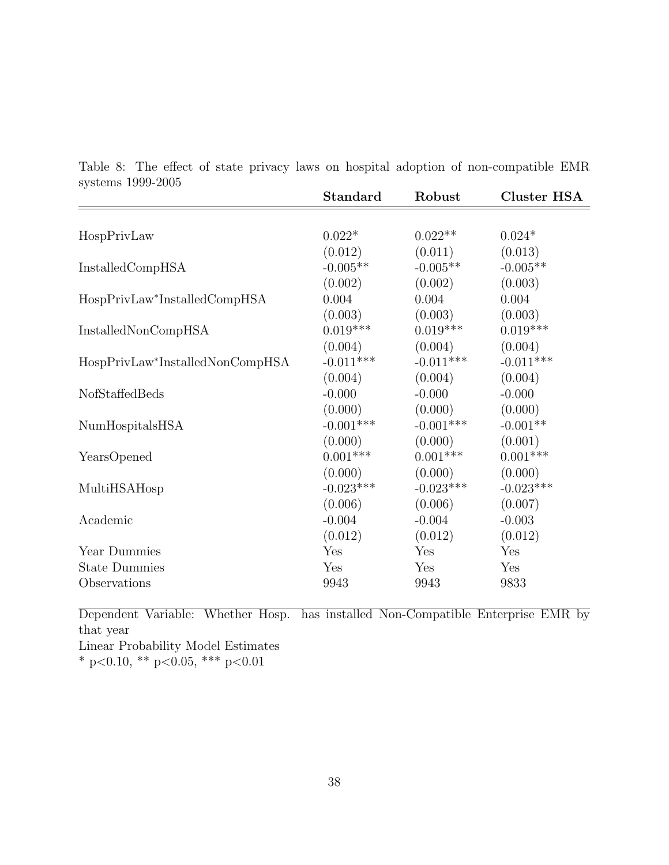<span id="page-37-0"></span>Table 8: The effect of state privacy laws on hospital adoption of non-compatible EMR systems 1999-2005

|                                 | <b>Standard</b> | Robust      | <b>Cluster HSA</b> |
|---------------------------------|-----------------|-------------|--------------------|
|                                 |                 |             |                    |
| HospPrivLaw                     | $0.022*$        | $0.022**$   | $0.024*$           |
|                                 | (0.012)         | (0.011)     | (0.013)            |
| InstalledCompHSA                | $-0.005**$      | $-0.005**$  | $-0.005**$         |
|                                 | (0.002)         | (0.002)     | (0.003)            |
| HospPrivLaw*InstalledCompHSA    | 0.004           | 0.004       | 0.004              |
|                                 | (0.003)         | (0.003)     | (0.003)            |
| <b>InstalledNonCompHSA</b>      | $0.019***$      | $0.019***$  | $0.019***$         |
|                                 | (0.004)         | (0.004)     | (0.004)            |
| HospPrivLaw*InstalledNonCompHSA | $-0.011***$     | $-0.011***$ | $-0.011***$        |
|                                 | (0.004)         | (0.004)     | (0.004)            |
| NofStaffedBeds                  | $-0.000$        | $-0.000$    | $-0.000$           |
|                                 | (0.000)         | (0.000)     | (0.000)            |
| NumHospitalsHSA                 | $-0.001***$     | $-0.001***$ | $-0.001**$         |
|                                 | (0.000)         | (0.000)     | (0.001)            |
| YearsOpened                     | $0.001***$      | $0.001***$  | $0.001***$         |
|                                 | (0.000)         | (0.000)     | (0.000)            |
| MultiHSAHosp                    | $-0.023***$     | $-0.023***$ | $-0.023***$        |
|                                 | (0.006)         | (0.006)     | (0.007)            |
| Academic                        | $-0.004$        | $-0.004$    | $-0.003$           |
|                                 | (0.012)         | (0.012)     | (0.012)            |
| Year Dummies                    | Yes             | Yes         | Yes                |
| <b>State Dummies</b>            | Yes             | Yes         | Yes                |
| Observations                    | 9943            | 9943        | 9833               |

Dependent Variable: Whether Hosp. has installed Non-Compatible Enterprise EMR by that year Linear Probability Model Estimates

\* p<0.10, \*\* p<0.05, \*\*\* p<0.01